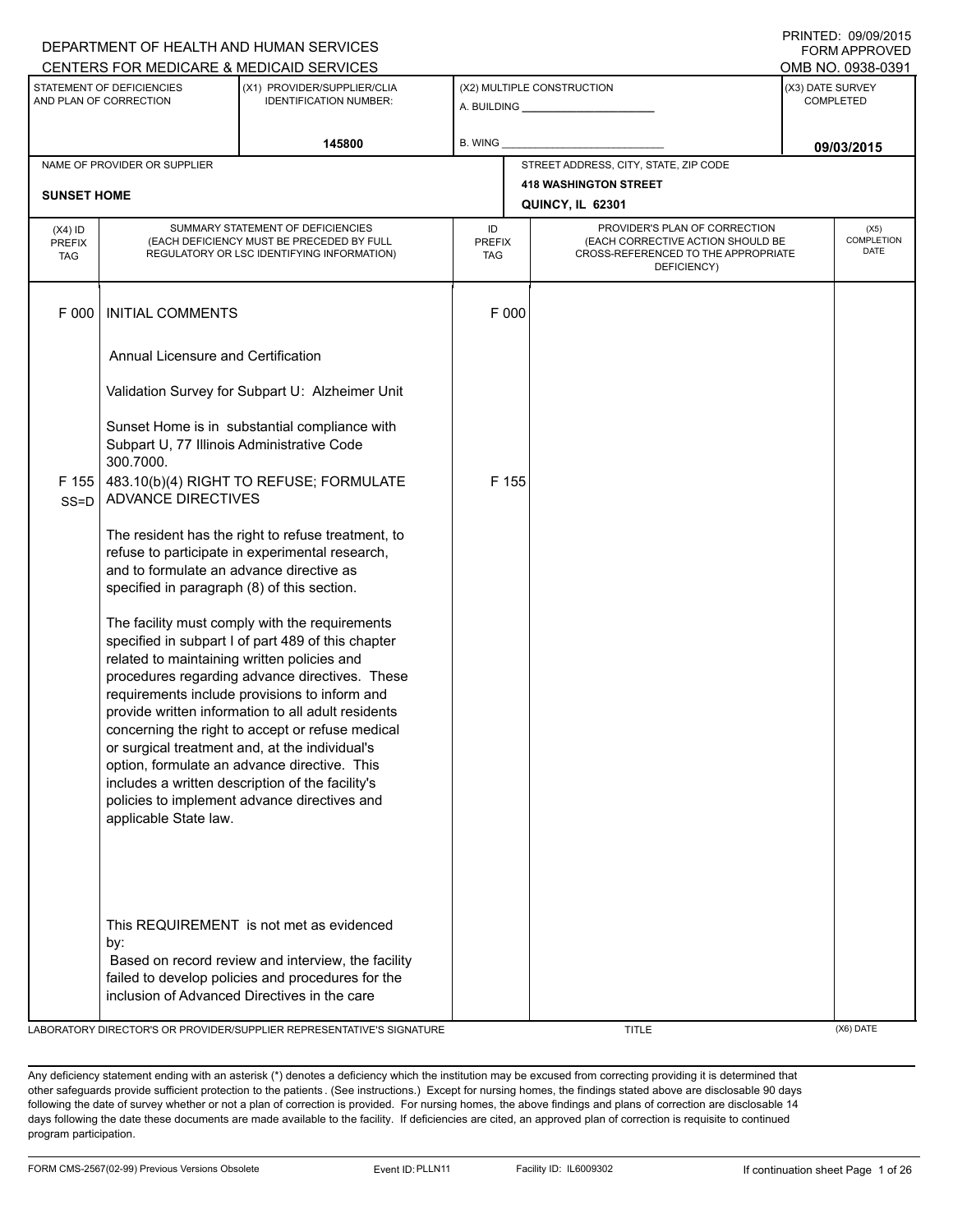|                                                     |                                                                                         | CENTERS FOR MEDICARE & MEDICAID SERVICES                                                                                                                                                                                                                                                                                                                                                                                                                                                                                |                            |       |                                                                                                                          |                               | I UNIVIAFFNUVLU<br>OMB NO. 0938-0391 |
|-----------------------------------------------------|-----------------------------------------------------------------------------------------|-------------------------------------------------------------------------------------------------------------------------------------------------------------------------------------------------------------------------------------------------------------------------------------------------------------------------------------------------------------------------------------------------------------------------------------------------------------------------------------------------------------------------|----------------------------|-------|--------------------------------------------------------------------------------------------------------------------------|-------------------------------|--------------------------------------|
| STATEMENT OF DEFICIENCIES<br>AND PLAN OF CORRECTION |                                                                                         | (X1) PROVIDER/SUPPLIER/CLIA<br><b>IDENTIFICATION NUMBER:</b>                                                                                                                                                                                                                                                                                                                                                                                                                                                            |                            |       | (X2) MULTIPLE CONSTRUCTION                                                                                               | (X3) DATE SURVEY<br>COMPLETED |                                      |
| 145800                                              |                                                                                         | B. WING                                                                                                                                                                                                                                                                                                                                                                                                                                                                                                                 |                            |       |                                                                                                                          | 09/03/2015                    |                                      |
|                                                     | NAME OF PROVIDER OR SUPPLIER                                                            |                                                                                                                                                                                                                                                                                                                                                                                                                                                                                                                         |                            |       | STREET ADDRESS, CITY, STATE, ZIP CODE                                                                                    |                               |                                      |
| <b>SUNSET HOME</b>                                  |                                                                                         |                                                                                                                                                                                                                                                                                                                                                                                                                                                                                                                         |                            |       | <b>418 WASHINGTON STREET</b><br>QUINCY, IL 62301                                                                         |                               |                                      |
| $(X4)$ ID<br><b>PREFIX</b><br><b>TAG</b>            |                                                                                         | SUMMARY STATEMENT OF DEFICIENCIES<br>(EACH DEFICIENCY MUST BE PRECEDED BY FULL<br>REGULATORY OR LSC IDENTIFYING INFORMATION)                                                                                                                                                                                                                                                                                                                                                                                            | ID<br><b>PREFIX</b><br>TAG |       | PROVIDER'S PLAN OF CORRECTION<br>(EACH CORRECTIVE ACTION SHOULD BE<br>CROSS-REFERENCED TO THE APPROPRIATE<br>DEFICIENCY) |                               | (X5)<br>COMPLETION<br>DATE           |
| F 000                                               | <b>INITIAL COMMENTS</b>                                                                 |                                                                                                                                                                                                                                                                                                                                                                                                                                                                                                                         |                            | F 000 |                                                                                                                          |                               |                                      |
|                                                     | Annual Licensure and Certification                                                      |                                                                                                                                                                                                                                                                                                                                                                                                                                                                                                                         |                            |       |                                                                                                                          |                               |                                      |
|                                                     |                                                                                         | Validation Survey for Subpart U: Alzheimer Unit                                                                                                                                                                                                                                                                                                                                                                                                                                                                         |                            |       |                                                                                                                          |                               |                                      |
|                                                     | Subpart U, 77 Illinois Administrative Code<br>300.7000.                                 | Sunset Home is in substantial compliance with                                                                                                                                                                                                                                                                                                                                                                                                                                                                           |                            |       |                                                                                                                          |                               |                                      |
| F 155<br>$SS = D$                                   | <b>ADVANCE DIRECTIVES</b>                                                               | 483.10(b)(4) RIGHT TO REFUSE; FORMULATE                                                                                                                                                                                                                                                                                                                                                                                                                                                                                 |                            | F 155 |                                                                                                                          |                               |                                      |
|                                                     | and to formulate an advance directive as<br>specified in paragraph (8) of this section. | The resident has the right to refuse treatment, to<br>refuse to participate in experimental research,                                                                                                                                                                                                                                                                                                                                                                                                                   |                            |       |                                                                                                                          |                               |                                      |
|                                                     | related to maintaining written policies and<br>applicable State law.                    | The facility must comply with the requirements<br>specified in subpart I of part 489 of this chapter<br>procedures regarding advance directives. These<br>requirements include provisions to inform and<br>provide written information to all adult residents<br>concerning the right to accept or refuse medical<br>or surgical treatment and, at the individual's<br>option, formulate an advance directive. This<br>includes a written description of the facility's<br>policies to implement advance directives and |                            |       |                                                                                                                          |                               |                                      |
|                                                     | by:                                                                                     | This REQUIREMENT is not met as evidenced<br>Based on record review and interview, the facility<br>failed to develop policies and procedures for the<br>inclusion of Advanced Directives in the care                                                                                                                                                                                                                                                                                                                     |                            |       |                                                                                                                          |                               |                                      |

LABORATORY DIRECTOR'S OR PROVIDER/SUPPLIER REPRESENTATIVE'S SIGNATURE THE TITLE THE TITLE (X6) DATE

Any deficiency statement ending with an asterisk (\*) denotes a deficiency which the institution may be excused from correcting providing it is determined that other safeguards provide sufficient protection to the patients . (See instructions.) Except for nursing homes, the findings stated above are disclosable 90 days following the date of survey whether or not a plan of correction is provided. For nursing homes, the above findings and plans of correction are disclosable 14 days following the date these documents are made available to the facility. If deficiencies are cited, an approved plan of correction is requisite to continued program participation.

PRINTED: 09/09/2015 FORM APPROVED

# DEPARTMENT OF HEALTH AND HUMAN SERVICES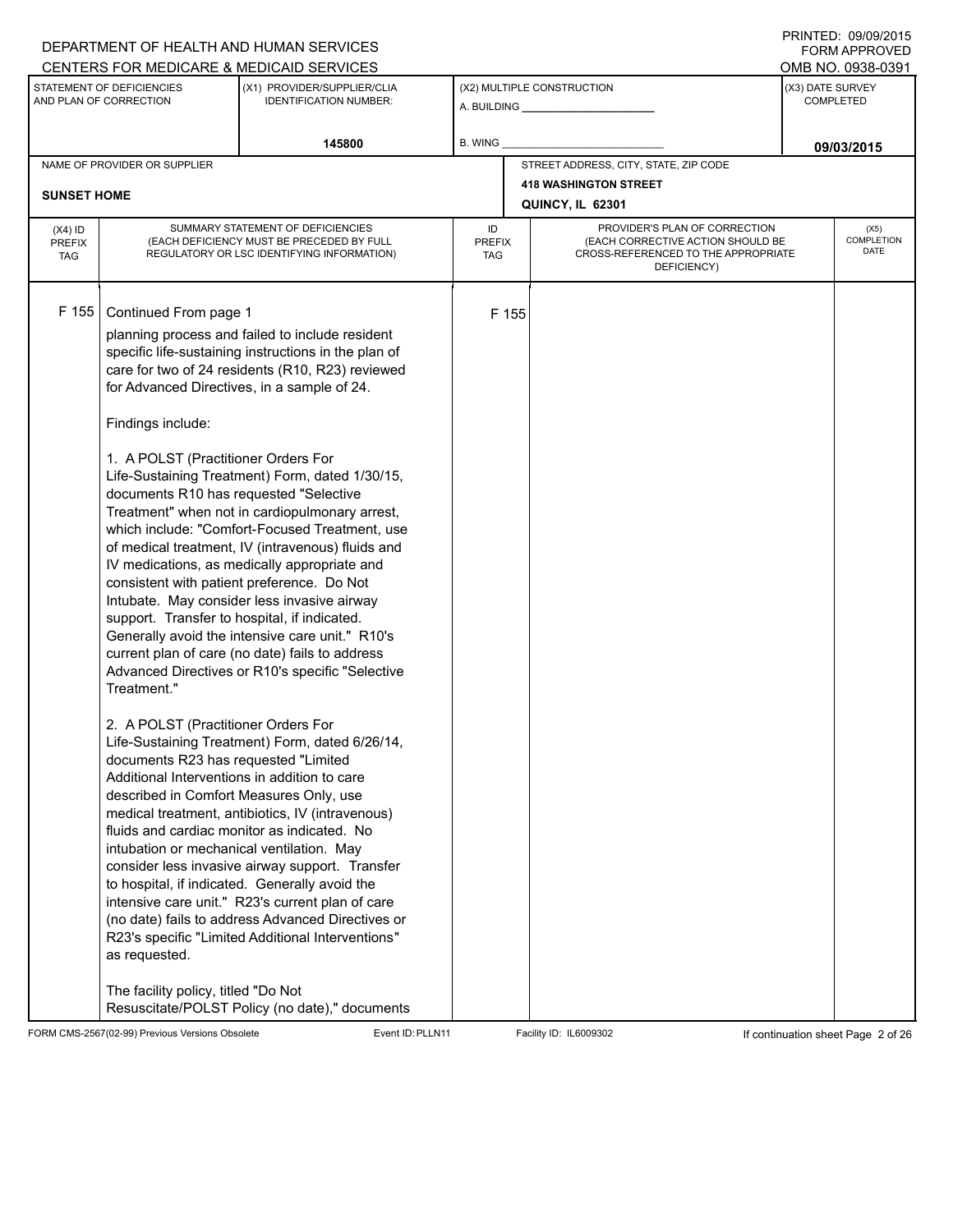## A. BUILDING **\_\_\_\_\_\_\_\_\_\_\_\_\_\_\_\_\_\_\_\_\_\_** (X1) PROVIDER/SUPPLIER/CLIA IDENTIFICATION NUMBER: STATEMENT OF DEFICIENCIES AND PLAN OF CORRECTION (X3) DATE SURVEY COMPLETED FORM APPROVED (X2) MULTIPLE CONSTRUCTION **B. WING** CENTERS FOR MEDICARE & MEDICAID SERVICES **And CENTERS FOR MEDICAL ACCESS** OMB NO. 0938-0391 145800 **B. WING DECISION B. WING** NAME OF PROVIDER OR SUPPLIER STREET ADDRESS, CITY, STATE, ZIP CODE **418 WASHINGTON STREET SUNSET HOME QUINCY, IL 62301** PROVIDER'S PLAN OF CORRECTION (EACH CORRECTIVE ACTION SHOULD BE CROSS-REFERENCED TO THE APPROPRIATE DEFICIENCY) (X5) **COMPLETION** DATE ID PREFIX TAG (X4) ID PREFIX TAG SUMMARY STATEMENT OF DEFICIENCIES (EACH DEFICIENCY MUST BE PRECEDED BY FULL REGULATORY OR LSC IDENTIFYING INFORMATION) F 155 Continued From page 1 F 155 planning process and failed to include resident specific life-sustaining instructions in the plan of care for two of 24 residents (R10, R23) reviewed for Advanced Directives, in a sample of 24. Findings include: 1. A POLST (Practitioner Orders For Life-Sustaining Treatment) Form, dated 1/30/15, documents R10 has requested "Selective Treatment" when not in cardiopulmonary arrest, which include: "Comfort-Focused Treatment, use of medical treatment, IV (intravenous) fluids and IV medications, as medically appropriate and consistent with patient preference. Do Not Intubate. May consider less invasive airway support. Transfer to hospital, if indicated. Generally avoid the intensive care unit." R10's current plan of care (no date) fails to address Advanced Directives or R10's specific "Selective Treatment." 2. A POLST (Practitioner Orders For Life-Sustaining Treatment) Form, dated 6/26/14, documents R23 has requested "Limited Additional Interventions in addition to care described in Comfort Measures Only, use medical treatment, antibiotics, IV (intravenous) fluids and cardiac monitor as indicated. No intubation or mechanical ventilation. May consider less invasive airway support. Transfer to hospital, if indicated. Generally avoid the intensive care unit." R23's current plan of care (no date) fails to address Advanced Directives or R23's specific "Limited Additional Interventions" as requested. The facility policy, titled "Do Not Resuscitate/POLST Policy (no date)," documents

FORM CMS-2567(02-99) Previous Versions Obsolete Event ID:PLLN11 Facility ID: IL6009302 If continuation sheet Page 2 of 26

DEPARTMENT OF HEALTH AND HUMAN SERVICES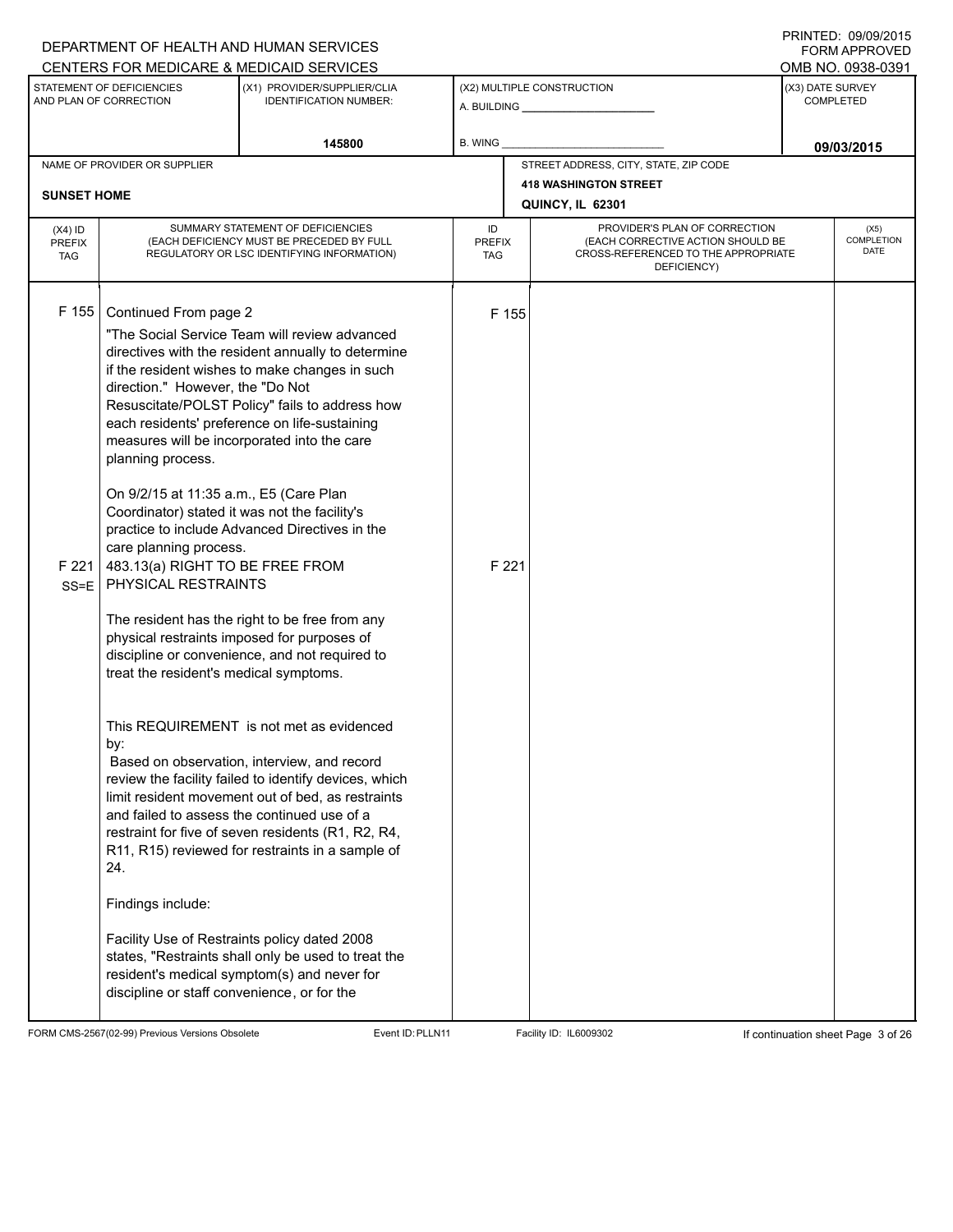|                                                                                                                     |                                                                                                                                                                                                                                                                                                                                                                                                                                          | DEPARTMENT OF HEALTH AND HUMAN SERVICES<br>CENTERS FOR MEDICARE & MEDICAID SERVICES                                                                                                                                                                                                                                                                                                                                                                                                                                                                                                                                                                                                                                                                                              |                            |                                                                                                                          |  | <b>FORM APPROVED</b><br>OMB NO. 0938-0391 |
|---------------------------------------------------------------------------------------------------------------------|------------------------------------------------------------------------------------------------------------------------------------------------------------------------------------------------------------------------------------------------------------------------------------------------------------------------------------------------------------------------------------------------------------------------------------------|----------------------------------------------------------------------------------------------------------------------------------------------------------------------------------------------------------------------------------------------------------------------------------------------------------------------------------------------------------------------------------------------------------------------------------------------------------------------------------------------------------------------------------------------------------------------------------------------------------------------------------------------------------------------------------------------------------------------------------------------------------------------------------|----------------------------|--------------------------------------------------------------------------------------------------------------------------|--|-------------------------------------------|
| STATEMENT OF DEFICIENCIES<br>(X1) PROVIDER/SUPPLIER/CLIA<br>AND PLAN OF CORRECTION<br><b>IDENTIFICATION NUMBER:</b> |                                                                                                                                                                                                                                                                                                                                                                                                                                          |                                                                                                                                                                                                                                                                                                                                                                                                                                                                                                                                                                                                                                                                                                                                                                                  | (X2) MULTIPLE CONSTRUCTION | (X3) DATE SURVEY<br><b>COMPLETED</b>                                                                                     |  |                                           |
|                                                                                                                     |                                                                                                                                                                                                                                                                                                                                                                                                                                          | 145800                                                                                                                                                                                                                                                                                                                                                                                                                                                                                                                                                                                                                                                                                                                                                                           | B. WING                    |                                                                                                                          |  | 09/03/2015                                |
|                                                                                                                     | NAME OF PROVIDER OR SUPPLIER                                                                                                                                                                                                                                                                                                                                                                                                             |                                                                                                                                                                                                                                                                                                                                                                                                                                                                                                                                                                                                                                                                                                                                                                                  |                            | STREET ADDRESS, CITY, STATE, ZIP CODE                                                                                    |  |                                           |
| <b>SUNSET HOME</b>                                                                                                  |                                                                                                                                                                                                                                                                                                                                                                                                                                          |                                                                                                                                                                                                                                                                                                                                                                                                                                                                                                                                                                                                                                                                                                                                                                                  |                            | <b>418 WASHINGTON STREET</b><br>QUINCY, IL 62301                                                                         |  |                                           |
| $(X4)$ ID<br><b>PREFIX</b><br><b>TAG</b>                                                                            |                                                                                                                                                                                                                                                                                                                                                                                                                                          | SUMMARY STATEMENT OF DEFICIENCIES<br>(EACH DEFICIENCY MUST BE PRECEDED BY FULL<br>REGULATORY OR LSC IDENTIFYING INFORMATION)                                                                                                                                                                                                                                                                                                                                                                                                                                                                                                                                                                                                                                                     | ID<br><b>PREFIX</b><br>TAG | PROVIDER'S PLAN OF CORRECTION<br>(EACH CORRECTIVE ACTION SHOULD BE<br>CROSS-REFERENCED TO THE APPROPRIATE<br>DEFICIENCY) |  | (X5)<br><b>COMPLETION</b><br>DATE         |
| F 155<br>F 221<br>$SS = E$                                                                                          | Continued From page 2<br>direction." However, the "Do Not<br>planning process.<br>On 9/2/15 at 11:35 a.m., E5 (Care Plan<br>Coordinator) stated it was not the facility's<br>care planning process.<br>483.13(a) RIGHT TO BE FREE FROM<br>PHYSICAL RESTRAINTS<br>physical restraints imposed for purposes of<br>treat the resident's medical symptoms.<br>by:<br>and failed to assess the continued use of a<br>24.<br>Findings include: | "The Social Service Team will review advanced<br>directives with the resident annually to determine<br>if the resident wishes to make changes in such<br>Resuscitate/POLST Policy" fails to address how<br>each residents' preference on life-sustaining<br>measures will be incorporated into the care<br>practice to include Advanced Directives in the<br>The resident has the right to be free from any<br>discipline or convenience, and not required to<br>This REQUIREMENT is not met as evidenced<br>Based on observation, interview, and record<br>review the facility failed to identify devices, which<br>limit resident movement out of bed, as restraints<br>restraint for five of seven residents (R1, R2, R4,<br>R11, R15) reviewed for restraints in a sample of | F 155<br>F 221             |                                                                                                                          |  |                                           |
|                                                                                                                     | discipline or staff convenience, or for the                                                                                                                                                                                                                                                                                                                                                                                              | Facility Use of Restraints policy dated 2008<br>states, "Restraints shall only be used to treat the<br>resident's medical symptom(s) and never for                                                                                                                                                                                                                                                                                                                                                                                                                                                                                                                                                                                                                               |                            |                                                                                                                          |  |                                           |

FORM CMS-2567(02-99) Previous Versions Obsolete Event ID:PLLN11 Facility ID: IL6009302 If continuation sheet Page 3 of 26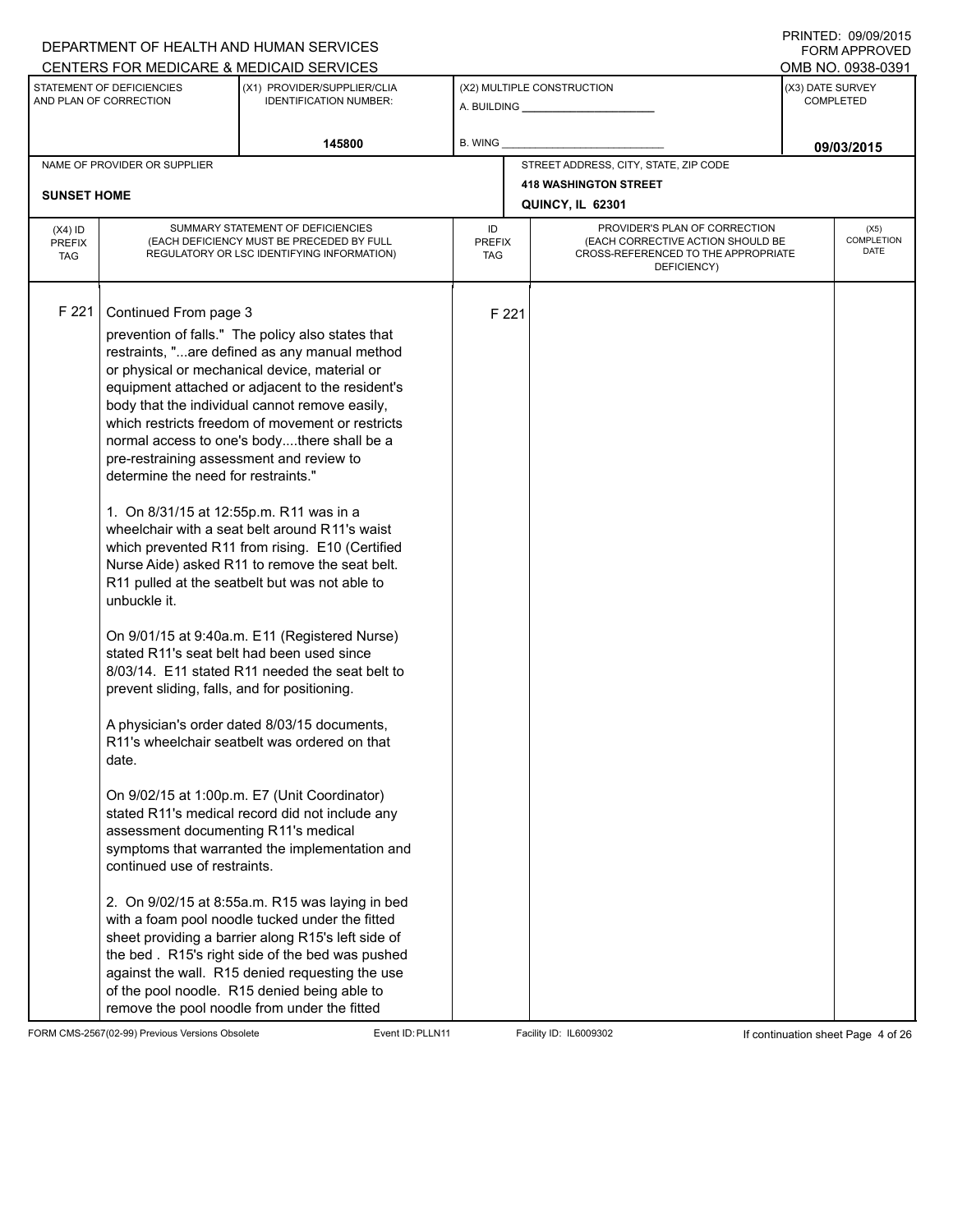## A. BUILDING **\_\_\_\_\_\_\_\_\_\_\_\_\_\_\_\_\_\_\_\_\_\_** (X1) PROVIDER/SUPPLIER/CLIA IDENTIFICATION NUMBER: STATEMENT OF DEFICIENCIES AND PLAN OF CORRECTION (X3) DATE SURVEY COMPLETED FORM APPROVED (X2) MULTIPLE CONSTRUCTION **B. WING** CENTERS FOR MEDICARE & MEDICAID SERVICES **And CENTERS FOR MEDICAL ACCESS** OMB NO. 0938-0391 145800 **B. WING DECISION B. WING** NAME OF PROVIDER OR SUPPLIER STREET ADDRESS, CITY, STATE, ZIP CODE **418 WASHINGTON STREET SUNSET HOME QUINCY, IL 62301** PROVIDER'S PLAN OF CORRECTION (EACH CORRECTIVE ACTION SHOULD BE CROSS-REFERENCED TO THE APPROPRIATE DEFICIENCY) (X5) **COMPLETION** DATE ID PREFIX TAG (X4) ID PREFIX TAG SUMMARY STATEMENT OF DEFICIENCIES (EACH DEFICIENCY MUST BE PRECEDED BY FULL REGULATORY OR LSC IDENTIFYING INFORMATION) F 221 Continued From page 3 F 221 prevention of falls." The policy also states that restraints, "...are defined as any manual method or physical or mechanical device, material or equipment attached or adjacent to the resident's body that the individual cannot remove easily, which restricts freedom of movement or restricts normal access to one's body....there shall be a pre-restraining assessment and review to determine the need for restraints." 1. On 8/31/15 at 12:55p.m. R11 was in a wheelchair with a seat belt around R11's waist which prevented R11 from rising. E10 (Certified Nurse Aide) asked R11 to remove the seat belt. R11 pulled at the seatbelt but was not able to unbuckle it. On 9/01/15 at 9:40a.m. E11 (Registered Nurse) stated R11's seat belt had been used since 8/03/14. E11 stated R11 needed the seat belt to prevent sliding, falls, and for positioning. A physician's order dated 8/03/15 documents, R11's wheelchair seatbelt was ordered on that date. On 9/02/15 at 1:00p.m. E7 (Unit Coordinator) stated R11's medical record did not include any assessment documenting R11's medical symptoms that warranted the implementation and continued use of restraints. 2. On 9/02/15 at 8:55a.m. R15 was laying in bed with a foam pool noodle tucked under the fitted sheet providing a barrier along R15's left side of the bed . R15's right side of the bed was pushed against the wall. R15 denied requesting the use of the pool noodle. R15 denied being able to remove the pool noodle from under the fitted

FORM CMS-2567(02-99) Previous Versions Obsolete Event ID:PLLN11 Facility ID: IL6009302 If continuation sheet Page 4 of 26

DEPARTMENT OF HEALTH AND HUMAN SERVICES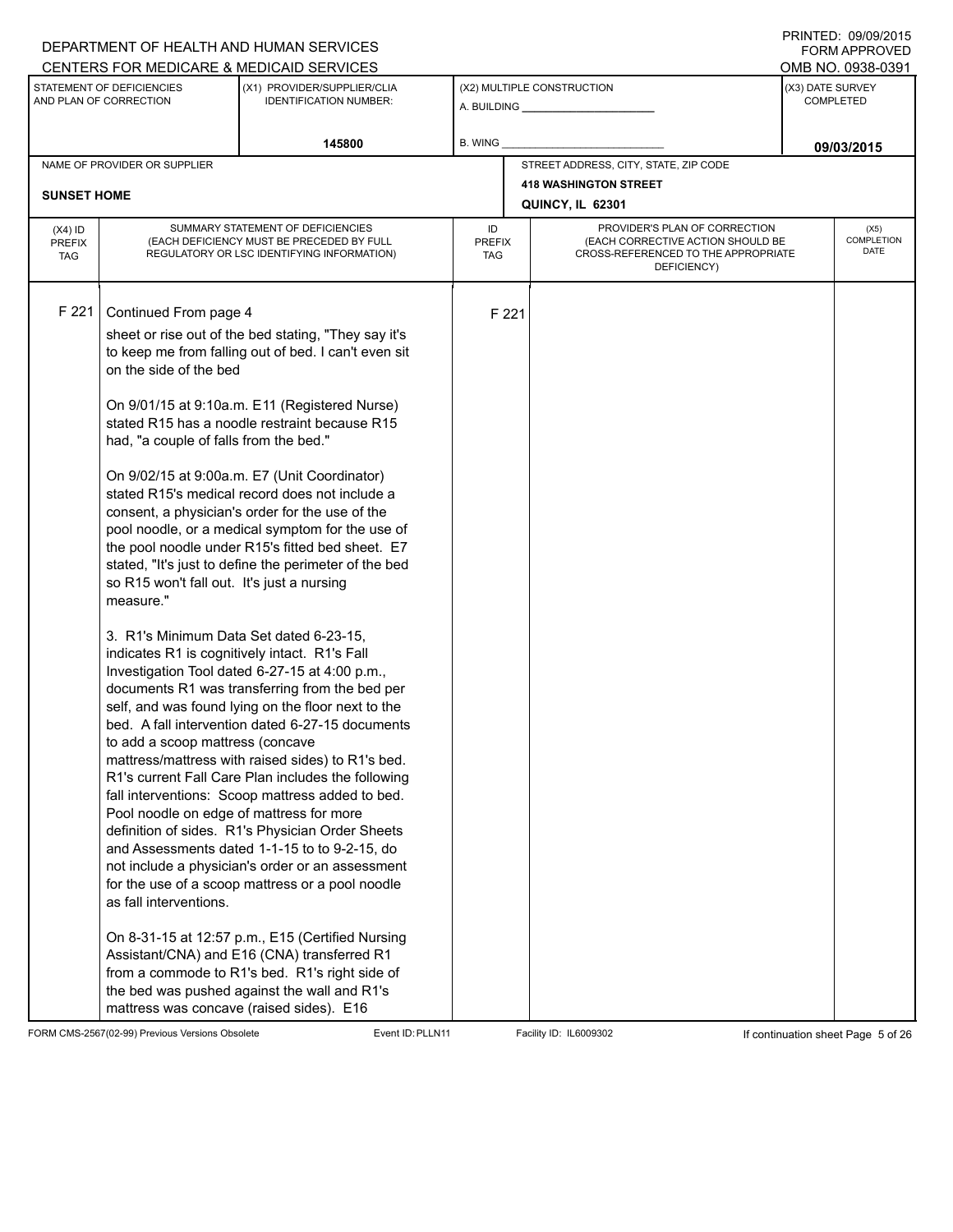## A. BUILDING **\_\_\_\_\_\_\_\_\_\_\_\_\_\_\_\_\_\_\_\_\_\_** (X1) PROVIDER/SUPPLIER/CLIA IDENTIFICATION NUMBER: STATEMENT OF DEFICIENCIES AND PLAN OF CORRECTION (X3) DATE SURVEY COMPLETED FORM APPROVED (X2) MULTIPLE CONSTRUCTION **B. WING** CENTERS FOR MEDICARE & MEDICAID SERVICES **And CENTERS FOR MEDICAL ACCESS** OMB NO. 0938-0391 **145800 09/03/2015** NAME OF PROVIDER OR SUPPLIER STREET ADDRESS, CITY, STATE, ZIP CODE **418 WASHINGTON STREET SUNSET HOME QUINCY, IL 62301** PROVIDER'S PLAN OF CORRECTION (EACH CORRECTIVE ACTION SHOULD BE CROSS-REFERENCED TO THE APPROPRIATE DEFICIENCY) (X5) **COMPLETION** DATE ID PREFIX TAG (X4) ID PREFIX TAG SUMMARY STATEMENT OF DEFICIENCIES (EACH DEFICIENCY MUST BE PRECEDED BY FULL REGULATORY OR LSC IDENTIFYING INFORMATION) F 221 Continued From page 4 F 221 sheet or rise out of the bed stating, "They say it's to keep me from falling out of bed. I can't even sit on the side of the bed On 9/01/15 at 9:10a.m. E11 (Registered Nurse) stated R15 has a noodle restraint because R15 had, "a couple of falls from the bed." On 9/02/15 at 9:00a.m. E7 (Unit Coordinator) stated R15's medical record does not include a consent, a physician's order for the use of the pool noodle, or a medical symptom for the use of the pool noodle under R15's fitted bed sheet. E7 stated, "It's just to define the perimeter of the bed so R15 won't fall out. It's just a nursing measure." 3. R1's Minimum Data Set dated 6-23-15, indicates R1 is cognitively intact. R1's Fall Investigation Tool dated 6-27-15 at 4:00 p.m., documents R1 was transferring from the bed per self, and was found lying on the floor next to the bed. A fall intervention dated 6-27-15 documents to add a scoop mattress (concave mattress/mattress with raised sides) to R1's bed. R1's current Fall Care Plan includes the following fall interventions: Scoop mattress added to bed. Pool noodle on edge of mattress for more definition of sides. R1's Physician Order Sheets and Assessments dated 1-1-15 to to 9-2-15, do not include a physician's order or an assessment for the use of a scoop mattress or a pool noodle as fall interventions. On 8-31-15 at 12:57 p.m., E15 (Certified Nursing Assistant/CNA) and E16 (CNA) transferred R1 from a commode to R1's bed. R1's right side of the bed was pushed against the wall and R1's mattress was concave (raised sides). E16

FORM CMS-2567(02-99) Previous Versions Obsolete Event ID:PLLN11 Facility ID: IL6009302 If continuation sheet Page 5 of 26

DEPARTMENT OF HEALTH AND HUMAN SERVICES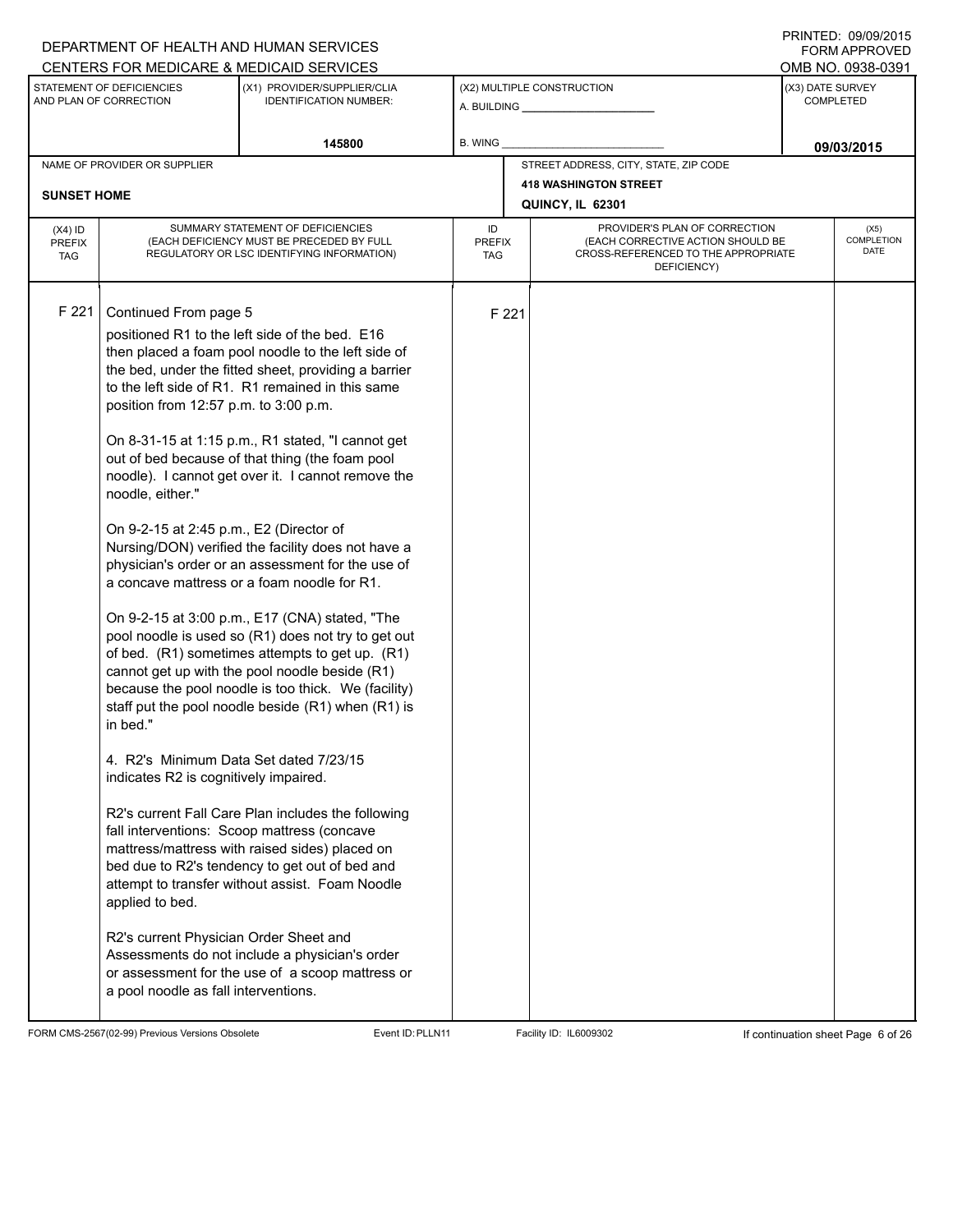# A. BUILDING **\_\_\_\_\_\_\_\_\_\_\_\_\_\_\_\_\_\_\_\_\_\_** (X1) PROVIDER/SUPPLIER/CLIA IDENTIFICATION NUMBER: STATEMENT OF DEFICIENCIES AND PLAN OF CORRECTION (X3) DATE SURVEY COMPLETED FORM APPROVED (X2) MULTIPLE CONSTRUCTION **B. WING** CENTERS FOR MEDICARE & MEDICAID SERVICES **And CENTERS FOR MEDICAL ACCESS** OMB NO. 0938-0391 145800 **B. WING DECISION B. WING** NAME OF PROVIDER OR SUPPLIER STREET ADDRESS, CITY, STATE, ZIP CODE **418 WASHINGTON STREET SUNSET HOME QUINCY, IL 62301** PROVIDER'S PLAN OF CORRECTION (EACH CORRECTIVE ACTION SHOULD BE CROSS-REFERENCED TO THE APPROPRIATE DEFICIENCY) (X5) **COMPLETION** DATE ID PREFIX TAG (X4) ID PREFIX TAG SUMMARY STATEMENT OF DEFICIENCIES (EACH DEFICIENCY MUST BE PRECEDED BY FULL REGULATORY OR LSC IDENTIFYING INFORMATION) F 221 Continued From page 5 F 221 positioned R1 to the left side of the bed. E16 then placed a foam pool noodle to the left side of the bed, under the fitted sheet, providing a barrier to the left side of R1. R1 remained in this same position from 12:57 p.m. to 3:00 p.m. On 8-31-15 at 1:15 p.m., R1 stated, "I cannot get out of bed because of that thing (the foam pool noodle). I cannot get over it. I cannot remove the noodle, either." On 9-2-15 at 2:45 p.m., E2 (Director of Nursing/DON) verified the facility does not have a physician's order or an assessment for the use of a concave mattress or a foam noodle for R1. On 9-2-15 at 3:00 p.m., E17 (CNA) stated, "The pool noodle is used so (R1) does not try to get out of bed. (R1) sometimes attempts to get up. (R1) cannot get up with the pool noodle beside (R1) because the pool noodle is too thick. We (facility) staff put the pool noodle beside (R1) when (R1) is in bed." 4. R2's Minimum Data Set dated 7/23/15 indicates R2 is cognitively impaired. R2's current Fall Care Plan includes the following fall interventions: Scoop mattress (concave mattress/mattress with raised sides) placed on bed due to R2's tendency to get out of bed and attempt to transfer without assist. Foam Noodle applied to bed. R2's current Physician Order Sheet and Assessments do not include a physician's order or assessment for the use of a scoop mattress or a pool noodle as fall interventions.

FORM CMS-2567(02-99) Previous Versions Obsolete Event ID:PLLN11 Facility ID: IL6009302 If continuation sheet Page 6 of 26

DEPARTMENT OF HEALTH AND HUMAN SERVICES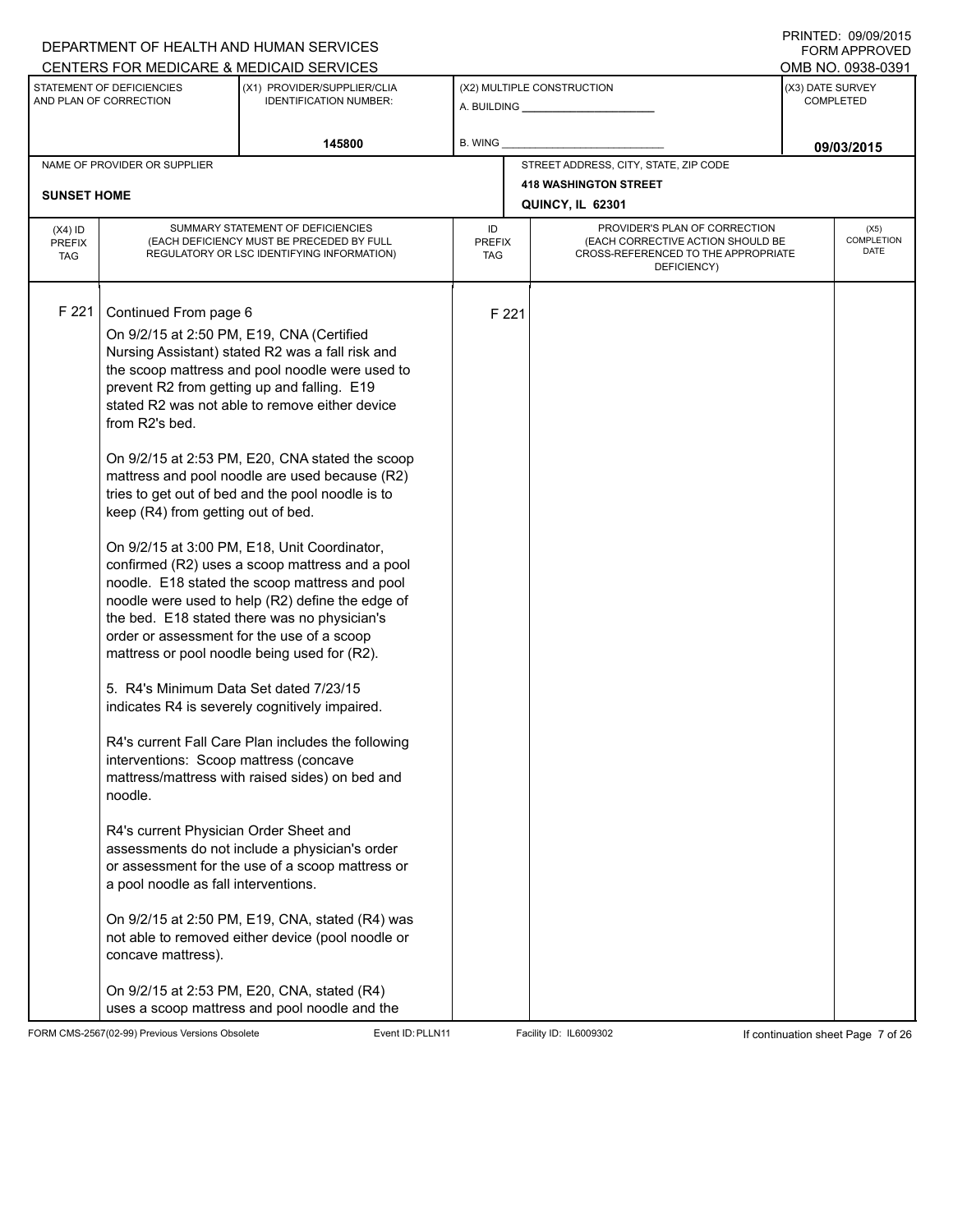# A. BUILDING **\_\_\_\_\_\_\_\_\_\_\_\_\_\_\_\_\_\_\_\_\_\_** (X1) PROVIDER/SUPPLIER/CLIA IDENTIFICATION NUMBER: STATEMENT OF DEFICIENCIES AND PLAN OF CORRECTION (X3) DATE SURVEY COMPLETED FORM APPROVED (X2) MULTIPLE CONSTRUCTION **B. WING** CENTERS FOR MEDICARE & MEDICAID SERVICES **And CENTERS FOR MEDICAL ACCESS** OMB NO. 0938-0391 145800 **B. WING DECISION B. WING** NAME OF PROVIDER OR SUPPLIER STREET ADDRESS, CITY, STATE, ZIP CODE **418 WASHINGTON STREET SUNSET HOME QUINCY, IL 62301** PROVIDER'S PLAN OF CORRECTION (EACH CORRECTIVE ACTION SHOULD BE CROSS-REFERENCED TO THE APPROPRIATE DEFICIENCY) (X5) **COMPLETION** DATE ID PREFIX TAG (X4) ID PREFIX TAG SUMMARY STATEMENT OF DEFICIENCIES (EACH DEFICIENCY MUST BE PRECEDED BY FULL REGULATORY OR LSC IDENTIFYING INFORMATION) F 221 Continued From page 6 F 221 On 9/2/15 at 2:50 PM, E19, CNA (Certified Nursing Assistant) stated R2 was a fall risk and the scoop mattress and pool noodle were used to prevent R2 from getting up and falling. E19 stated R2 was not able to remove either device from R2's bed. On 9/2/15 at 2:53 PM, E20, CNA stated the scoop mattress and pool noodle are used because (R2) tries to get out of bed and the pool noodle is to keep (R4) from getting out of bed. On 9/2/15 at 3:00 PM, E18, Unit Coordinator, confirmed (R2) uses a scoop mattress and a pool noodle. E18 stated the scoop mattress and pool noodle were used to help (R2) define the edge of the bed. E18 stated there was no physician's order or assessment for the use of a scoop mattress or pool noodle being used for (R2). 5. R4's Minimum Data Set dated 7/23/15 indicates R4 is severely cognitively impaired. R4's current Fall Care Plan includes the following interventions: Scoop mattress (concave mattress/mattress with raised sides) on bed and noodle. R4's current Physician Order Sheet and assessments do not include a physician's order or assessment for the use of a scoop mattress or a pool noodle as fall interventions. On 9/2/15 at 2:50 PM, E19, CNA, stated (R4) was not able to removed either device (pool noodle or concave mattress). On 9/2/15 at 2:53 PM, E20, CNA, stated (R4) uses a scoop mattress and pool noodle and the

FORM CMS-2567(02-99) Previous Versions Obsolete Event ID:PLLN11 Facility ID: IL6009302 If continuation sheet Page 7 of 26

DEPARTMENT OF HEALTH AND HUMAN SERVICES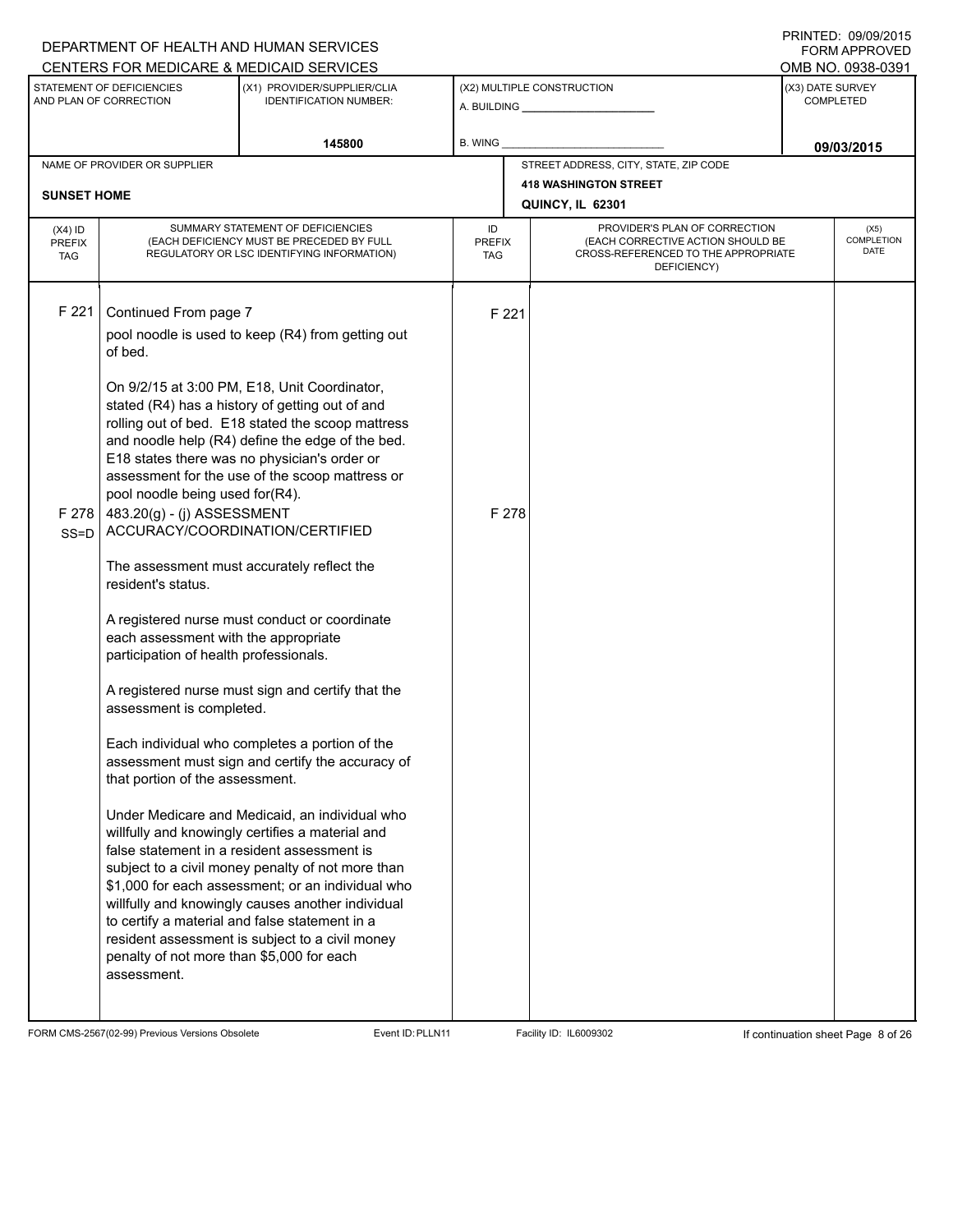## A. BUILDING **\_\_\_\_\_\_\_\_\_\_\_\_\_\_\_\_\_\_\_\_\_\_** (X1) PROVIDER/SUPPLIER/CLIA IDENTIFICATION NUMBER: STATEMENT OF DEFICIENCIES AND PLAN OF CORRECTION (X3) DATE SURVEY COMPLETED FORM APPROVED (X2) MULTIPLE CONSTRUCTION **B. WING** CENTERS FOR MEDICARE & MEDICAID SERVICES **And CENTERS FOR MEDICAL ACCESS** OMB NO. 0938-0391 145800 **B. WING DECISION B. WING** NAME OF PROVIDER OR SUPPLIER STREET ADDRESS, CITY, STATE, ZIP CODE **418 WASHINGTON STREET SUNSET HOME QUINCY, IL 62301** PROVIDER'S PLAN OF CORRECTION (EACH CORRECTIVE ACTION SHOULD BE CROSS-REFERENCED TO THE APPROPRIATE DEFICIENCY) (X5) **COMPLETION** DATE ID PREFIX TAG (X4) ID PREFIX TAG SUMMARY STATEMENT OF DEFICIENCIES (EACH DEFICIENCY MUST BE PRECEDED BY FULL REGULATORY OR LSC IDENTIFYING INFORMATION) F 221 Continued From page 7 F 221 pool noodle is used to keep (R4) from getting out of bed. On 9/2/15 at 3:00 PM, E18, Unit Coordinator, stated (R4) has a history of getting out of and rolling out of bed. E18 stated the scoop mattress and noodle help (R4) define the edge of the bed. E18 states there was no physician's order or assessment for the use of the scoop mattress or pool noodle being used for(R4). F 278 SS=D 483.20(g) - (j) ASSESSMENT ACCURACY/COORDINATION/CERTIFIED The assessment must accurately reflect the resident's status. A registered nurse must conduct or coordinate each assessment with the appropriate participation of health professionals. A registered nurse must sign and certify that the assessment is completed. Each individual who completes a portion of the assessment must sign and certify the accuracy of that portion of the assessment. Under Medicare and Medicaid, an individual who willfully and knowingly certifies a material and false statement in a resident assessment is subject to a civil money penalty of not more than \$1,000 for each assessment; or an individual who willfully and knowingly causes another individual to certify a material and false statement in a resident assessment is subject to a civil money penalty of not more than \$5,000 for each assessment. F 278

FORM CMS-2567(02-99) Previous Versions Obsolete Event ID:PLLN11 Facility ID: IL6009302 If continuation sheet Page 8 of 26

DEPARTMENT OF HEALTH AND HUMAN SERVICES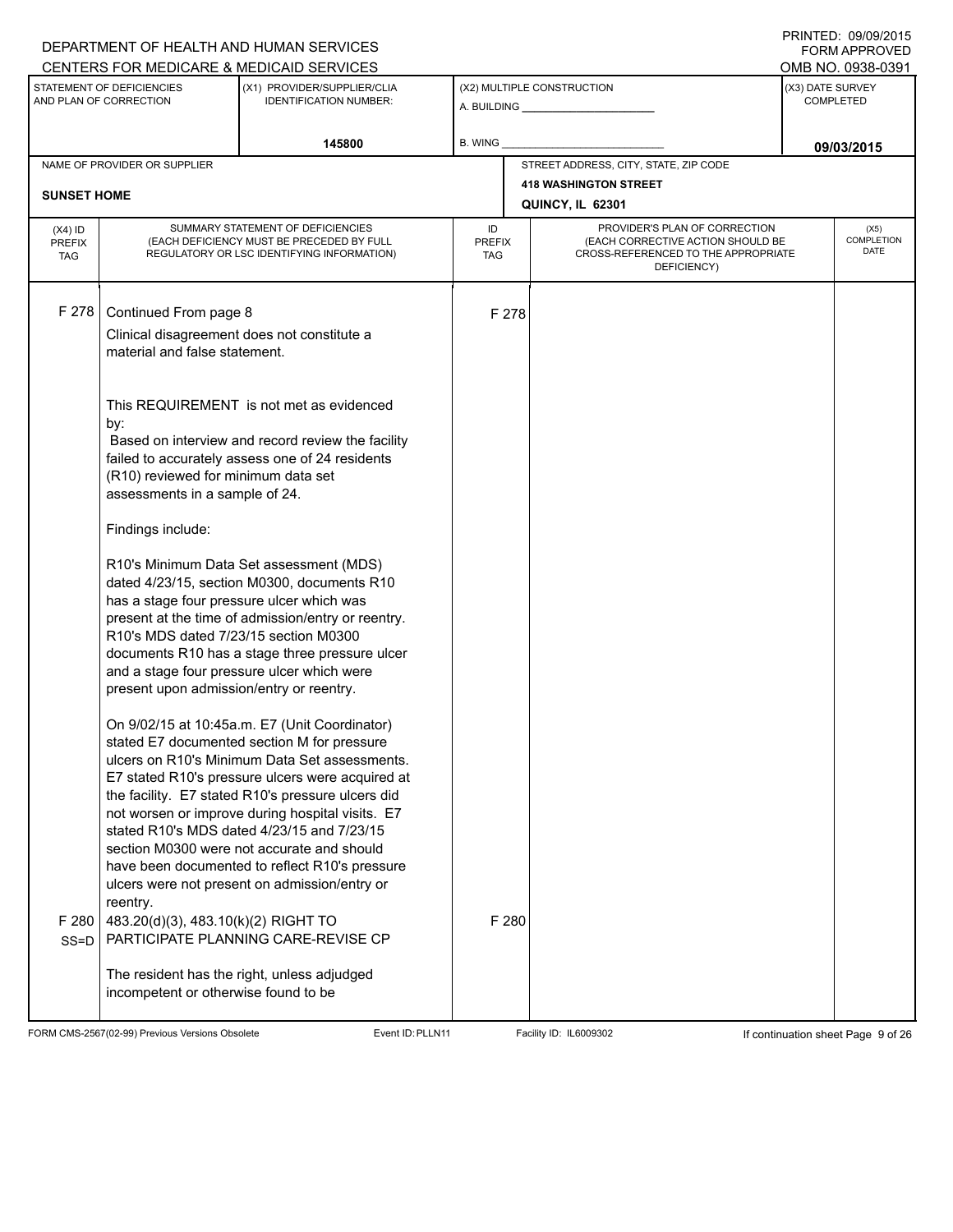## A. BUILDING **\_\_\_\_\_\_\_\_\_\_\_\_\_\_\_\_\_\_\_\_\_\_** (X1) PROVIDER/SUPPLIER/CLIA IDENTIFICATION NUMBER: STATEMENT OF DEFICIENCIES AND PLAN OF CORRECTION (X3) DATE SURVEY COMPLETED FORM APPROVED (X2) MULTIPLE CONSTRUCTION **B. WING** CENTERS FOR MEDICARE & MEDICAID SERVICES **And CENTERS FOR MEDICAL ACCESS** OMB NO. 0938-0391 **145800 09/03/2015** NAME OF PROVIDER OR SUPPLIER STREET ADDRESS, CITY, STATE, ZIP CODE **418 WASHINGTON STREET SUNSET HOME QUINCY, IL 62301** PROVIDER'S PLAN OF CORRECTION (EACH CORRECTIVE ACTION SHOULD BE CROSS-REFERENCED TO THE APPROPRIATE DEFICIENCY) (X5) **COMPLETION** DATE ID PREFIX TAG (X4) ID PREFIX TAG SUMMARY STATEMENT OF DEFICIENCIES (EACH DEFICIENCY MUST BE PRECEDED BY FULL REGULATORY OR LSC IDENTIFYING INFORMATION) F 278 Continued From page 8 F 278 Clinical disagreement does not constitute a material and false statement. This REQUIREMENT is not met as evidenced by: Based on interview and record review the facility failed to accurately assess one of 24 residents (R10) reviewed for minimum data set assessments in a sample of 24. Findings include: R10's Minimum Data Set assessment (MDS) dated 4/23/15, section M0300, documents R10 has a stage four pressure ulcer which was present at the time of admission/entry or reentry. R10's MDS dated 7/23/15 section M0300 documents R10 has a stage three pressure ulcer and a stage four pressure ulcer which were present upon admission/entry or reentry. On 9/02/15 at 10:45a.m. E7 (Unit Coordinator) stated E7 documented section M for pressure ulcers on R10's Minimum Data Set assessments. E7 stated R10's pressure ulcers were acquired at the facility. E7 stated R10's pressure ulcers did not worsen or improve during hospital visits. E7 stated R10's MDS dated 4/23/15 and 7/23/15 section M0300 were not accurate and should have been documented to reflect R10's pressure ulcers were not present on admission/entry or reentry. F 280 SS=D 483.20(d)(3), 483.10(k)(2) RIGHT TO PARTICIPATE PLANNING CARE-REVISE CP The resident has the right, unless adjudged incompetent or otherwise found to be F 280

FORM CMS-2567(02-99) Previous Versions Obsolete Event ID:PLLN11 Facility ID: IL6009302 If continuation sheet Page 9 of 26

DEPARTMENT OF HEALTH AND HUMAN SERVICES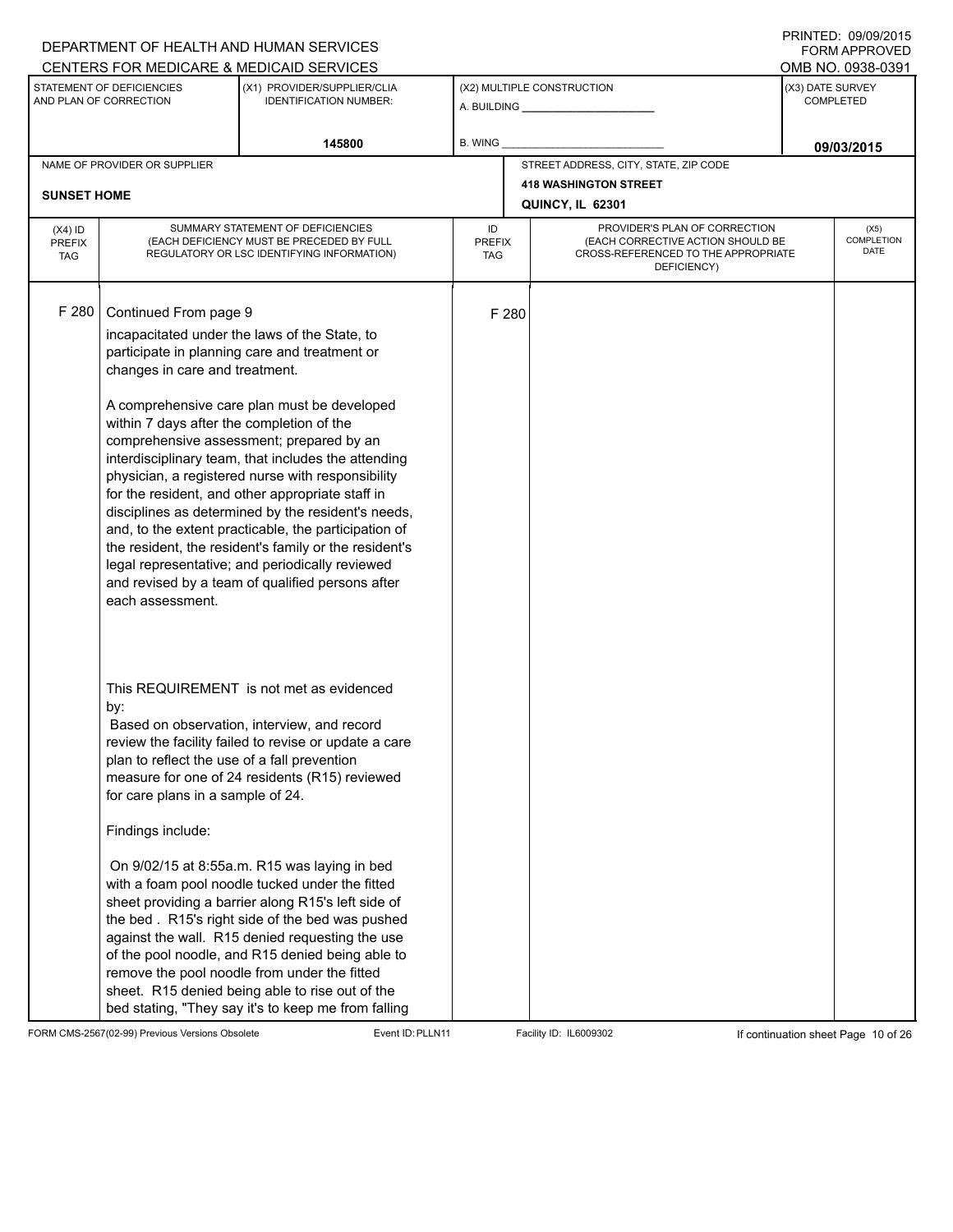# A. BUILDING **\_\_\_\_\_\_\_\_\_\_\_\_\_\_\_\_\_\_\_\_\_\_** (X1) PROVIDER/SUPPLIER/CLIA IDENTIFICATION NUMBER: STATEMENT OF DEFICIENCIES AND PLAN OF CORRECTION (X3) DATE SURVEY COMPLETED FORM APPROVED (X2) MULTIPLE CONSTRUCTION **B. WING** CENTERS FOR MEDICARE & MEDICAID SERVICES **And CENTERS FOR MEDICAL ACCESS** OMB NO. 0938-0391 145800 **B. WING DECISION B. WING** NAME OF PROVIDER OR SUPPLIER STREET ADDRESS, CITY, STATE, ZIP CODE **418 WASHINGTON STREET SUNSET HOME QUINCY, IL 62301** PROVIDER'S PLAN OF CORRECTION (EACH CORRECTIVE ACTION SHOULD BE CROSS-REFERENCED TO THE APPROPRIATE DEFICIENCY) (X5) **COMPLETION** DATE ID PREFIX TAG (X4) ID PREFIX TAG SUMMARY STATEMENT OF DEFICIENCIES (EACH DEFICIENCY MUST BE PRECEDED BY FULL REGULATORY OR LSC IDENTIFYING INFORMATION) F 280 Continued From page 9 F 280 incapacitated under the laws of the State, to participate in planning care and treatment or changes in care and treatment. A comprehensive care plan must be developed within 7 days after the completion of the comprehensive assessment; prepared by an interdisciplinary team, that includes the attending physician, a registered nurse with responsibility for the resident, and other appropriate staff in disciplines as determined by the resident's needs, and, to the extent practicable, the participation of the resident, the resident's family or the resident's legal representative; and periodically reviewed and revised by a team of qualified persons after each assessment. This REQUIREMENT is not met as evidenced by: Based on observation, interview, and record review the facility failed to revise or update a care plan to reflect the use of a fall prevention measure for one of 24 residents (R15) reviewed for care plans in a sample of 24. Findings include: On 9/02/15 at 8:55a.m. R15 was laying in bed with a foam pool noodle tucked under the fitted sheet providing a barrier along R15's left side of the bed . R15's right side of the bed was pushed against the wall. R15 denied requesting the use of the pool noodle, and R15 denied being able to remove the pool noodle from under the fitted sheet. R15 denied being able to rise out of the bed stating, "They say it's to keep me from falling

FORM CMS-2567(02-99) Previous Versions Obsolete Event ID:PLLN11 Facility ID: IL6009302 If continuation sheet Page 10 of 26

DEPARTMENT OF HEALTH AND HUMAN SERVICES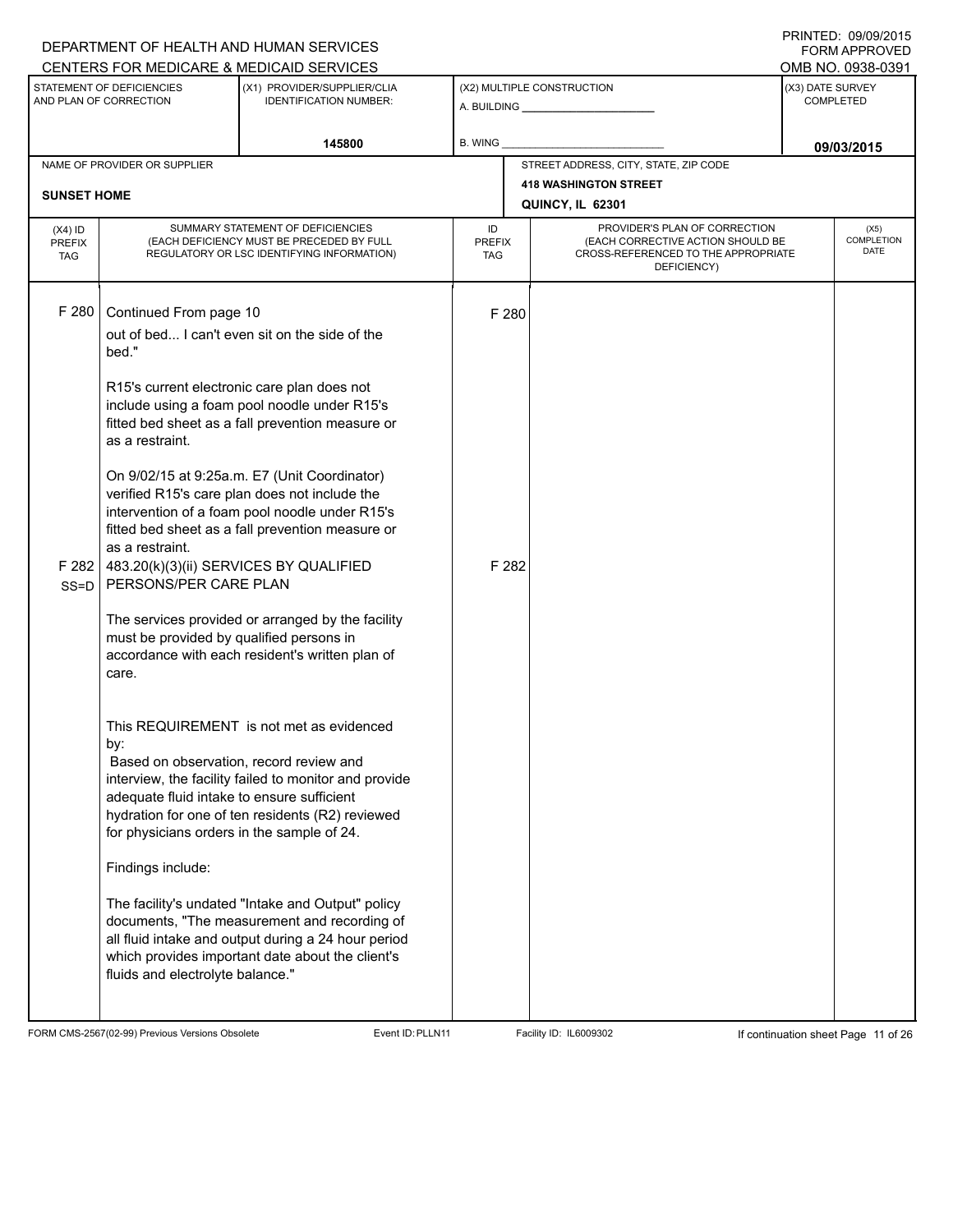|                                                                                                      |                                                                                                                                                                                                                                                                                                                                              | DEPARTMENT OF HEALTH AND HUMAN SERVICES                                                                                                                                                                                                                                                                                                                                                                                                                                                                                                                                |                            |                                                                                                                          |                                       | <b>FORM APPROVED</b>              |
|------------------------------------------------------------------------------------------------------|----------------------------------------------------------------------------------------------------------------------------------------------------------------------------------------------------------------------------------------------------------------------------------------------------------------------------------------------|------------------------------------------------------------------------------------------------------------------------------------------------------------------------------------------------------------------------------------------------------------------------------------------------------------------------------------------------------------------------------------------------------------------------------------------------------------------------------------------------------------------------------------------------------------------------|----------------------------|--------------------------------------------------------------------------------------------------------------------------|---------------------------------------|-----------------------------------|
| CENTERS FOR MEDICARE & MEDICAID SERVICES<br>STATEMENT OF DEFICIENCIES<br>(X1) PROVIDER/SUPPLIER/CLIA |                                                                                                                                                                                                                                                                                                                                              |                                                                                                                                                                                                                                                                                                                                                                                                                                                                                                                                                                        |                            | (X2) MULTIPLE CONSTRUCTION                                                                                               | OMB NO. 0938-0391<br>(X3) DATE SURVEY |                                   |
| AND PLAN OF CORRECTION<br><b>IDENTIFICATION NUMBER:</b>                                              |                                                                                                                                                                                                                                                                                                                                              |                                                                                                                                                                                                                                                                                                                                                                                                                                                                                                                                                                        |                            | <b>COMPLETED</b>                                                                                                         |                                       |                                   |
|                                                                                                      |                                                                                                                                                                                                                                                                                                                                              | 145800                                                                                                                                                                                                                                                                                                                                                                                                                                                                                                                                                                 | B. WING                    |                                                                                                                          | 09/03/2015                            |                                   |
|                                                                                                      | NAME OF PROVIDER OR SUPPLIER                                                                                                                                                                                                                                                                                                                 |                                                                                                                                                                                                                                                                                                                                                                                                                                                                                                                                                                        |                            | STREET ADDRESS, CITY, STATE, ZIP CODE                                                                                    |                                       |                                   |
| <b>SUNSET HOME</b>                                                                                   |                                                                                                                                                                                                                                                                                                                                              |                                                                                                                                                                                                                                                                                                                                                                                                                                                                                                                                                                        |                            | <b>418 WASHINGTON STREET</b>                                                                                             |                                       |                                   |
|                                                                                                      |                                                                                                                                                                                                                                                                                                                                              |                                                                                                                                                                                                                                                                                                                                                                                                                                                                                                                                                                        |                            | QUINCY, IL 62301                                                                                                         |                                       |                                   |
| $(X4)$ ID<br><b>PREFIX</b><br><b>TAG</b>                                                             |                                                                                                                                                                                                                                                                                                                                              | SUMMARY STATEMENT OF DEFICIENCIES<br>(EACH DEFICIENCY MUST BE PRECEDED BY FULL<br>REGULATORY OR LSC IDENTIFYING INFORMATION)                                                                                                                                                                                                                                                                                                                                                                                                                                           | ID<br><b>PREFIX</b><br>TAG | PROVIDER'S PLAN OF CORRECTION<br>(EACH CORRECTIVE ACTION SHOULD BE<br>CROSS-REFERENCED TO THE APPROPRIATE<br>DEFICIENCY) |                                       | (X5)<br><b>COMPLETION</b><br>DATE |
| F 280<br>F 282<br>$SS = D$                                                                           | Continued From page 10<br>bed."<br>R15's current electronic care plan does not<br>as a restraint.<br>as a restraint.<br>483.20(k)(3)(ii) SERVICES BY QUALIFIED<br>PERSONS/PER CARE PLAN<br>must be provided by qualified persons in<br>care.<br>by:<br>Based on observation, record review and<br>adequate fluid intake to ensure sufficient | out of bed I can't even sit on the side of the<br>include using a foam pool noodle under R15's<br>fitted bed sheet as a fall prevention measure or<br>On 9/02/15 at 9:25a.m. E7 (Unit Coordinator)<br>verified R15's care plan does not include the<br>intervention of a foam pool noodle under R15's<br>fitted bed sheet as a fall prevention measure or<br>The services provided or arranged by the facility<br>accordance with each resident's written plan of<br>This REQUIREMENT is not met as evidenced<br>interview, the facility failed to monitor and provide | F 280<br>F 282             |                                                                                                                          |                                       |                                   |
|                                                                                                      | for physicians orders in the sample of 24.                                                                                                                                                                                                                                                                                                   | hydration for one of ten residents (R2) reviewed                                                                                                                                                                                                                                                                                                                                                                                                                                                                                                                       |                            |                                                                                                                          |                                       |                                   |
|                                                                                                      | Findings include:                                                                                                                                                                                                                                                                                                                            |                                                                                                                                                                                                                                                                                                                                                                                                                                                                                                                                                                        |                            |                                                                                                                          |                                       |                                   |
|                                                                                                      | fluids and electrolyte balance."                                                                                                                                                                                                                                                                                                             | The facility's undated "Intake and Output" policy<br>documents, "The measurement and recording of<br>all fluid intake and output during a 24 hour period<br>which provides important date about the client's                                                                                                                                                                                                                                                                                                                                                           |                            |                                                                                                                          |                                       |                                   |

FORM CMS-2567(02-99) Previous Versions Obsolete Event ID:PLLN11 Facility ID: IL6009302 If continuation sheet Page 11 of 26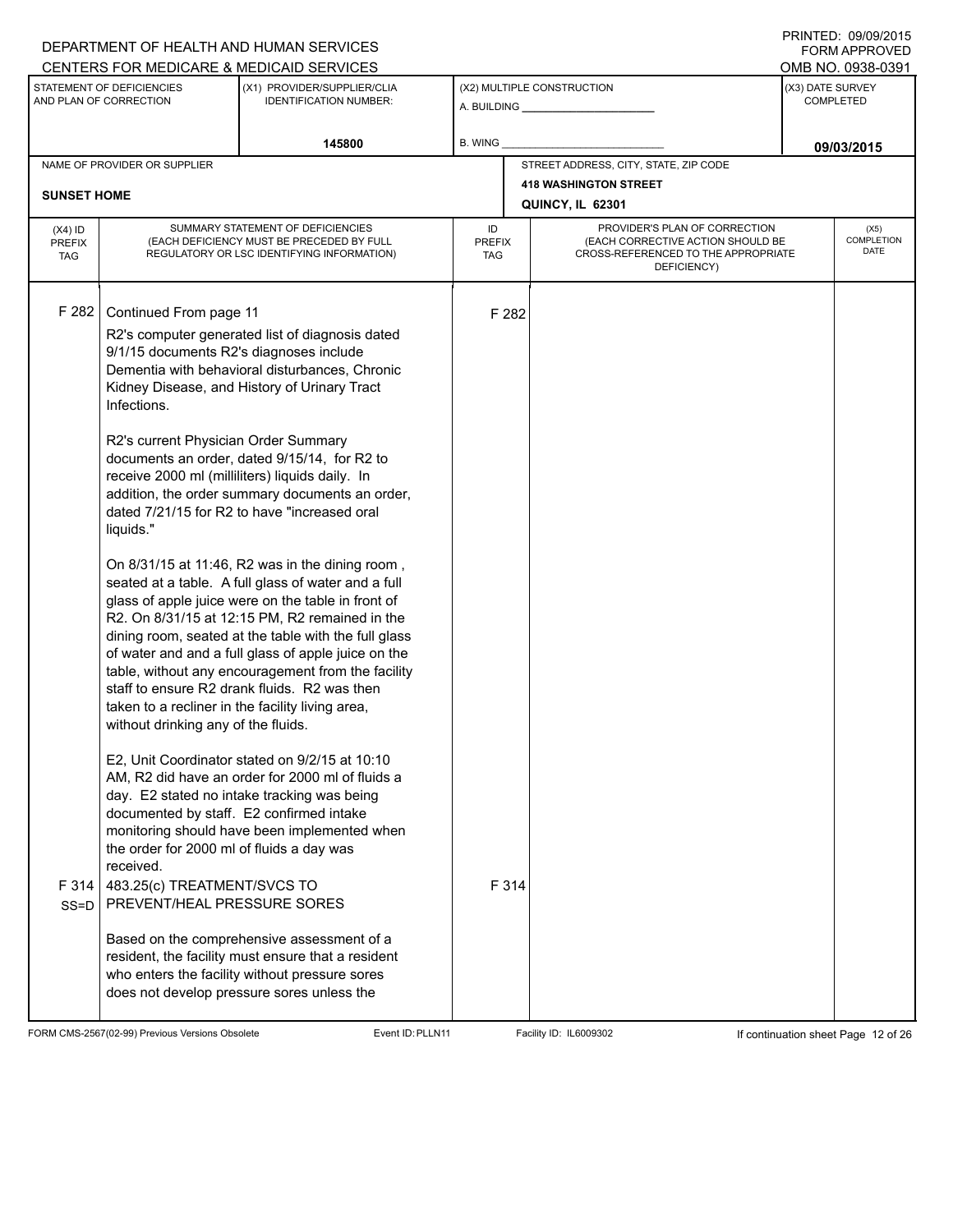#### A. BUILDING **\_\_\_\_\_\_\_\_\_\_\_\_\_\_\_\_\_\_\_\_\_\_** (X1) PROVIDER/SUPPLIER/CLIA IDENTIFICATION NUMBER: STATEMENT OF DEFICIENCIES AND PLAN OF CORRECTION (X3) DATE SURVEY COMPLETED FORM APPROVED (X2) MULTIPLE CONSTRUCTION **B. WING** CENTERS FOR MEDICARE & MEDICAID SERVICES **And CENTERS FOR MEDICAL ACCESS** OMB NO. 0938-0391 145800 **B. WING DECISION B. WING** NAME OF PROVIDER OR SUPPLIER STREET ADDRESS, CITY, STATE, ZIP CODE **418 WASHINGTON STREET SUNSET HOME QUINCY, IL 62301** PROVIDER'S PLAN OF CORRECTION (EACH CORRECTIVE ACTION SHOULD BE CROSS-REFERENCED TO THE APPROPRIATE DEFICIENCY) (X5) **COMPLETION** DATE ID PREFIX TAG (X4) ID PREFIX TAG SUMMARY STATEMENT OF DEFICIENCIES (EACH DEFICIENCY MUST BE PRECEDED BY FULL REGULATORY OR LSC IDENTIFYING INFORMATION) F 282 Continued From page 11 F 282 R2's computer generated list of diagnosis dated 9/1/15 documents R2's diagnoses include Dementia with behavioral disturbances, Chronic Kidney Disease, and History of Urinary Tract Infections. R2's current Physician Order Summary documents an order, dated 9/15/14, for R2 to receive 2000 ml (milliliters) liquids daily. In addition, the order summary documents an order, dated 7/21/15 for R2 to have "increased oral liquids." On 8/31/15 at 11:46, R2 was in the dining room , seated at a table. A full glass of water and a full glass of apple juice were on the table in front of R2. On 8/31/15 at 12:15 PM, R2 remained in the dining room, seated at the table with the full glass of water and and a full glass of apple juice on the table, without any encouragement from the facility staff to ensure R2 drank fluids. R2 was then taken to a recliner in the facility living area, without drinking any of the fluids. E2, Unit Coordinator stated on 9/2/15 at 10:10 AM, R2 did have an order for 2000 ml of fluids a day. E2 stated no intake tracking was being documented by staff. E2 confirmed intake monitoring should have been implemented when the order for 2000 ml of fluids a day was received. F 314 SS=D 483.25(c) TREATMENT/SVCS TO PREVENT/HEAL PRESSURE SORES Based on the comprehensive assessment of a resident, the facility must ensure that a resident who enters the facility without pressure sores does not develop pressure sores unless the F 314

FORM CMS-2567(02-99) Previous Versions Obsolete Event ID:PLLN11 Facility ID: IL6009302 If continuation sheet Page 12 of 26

DEPARTMENT OF HEALTH AND HUMAN SERVICES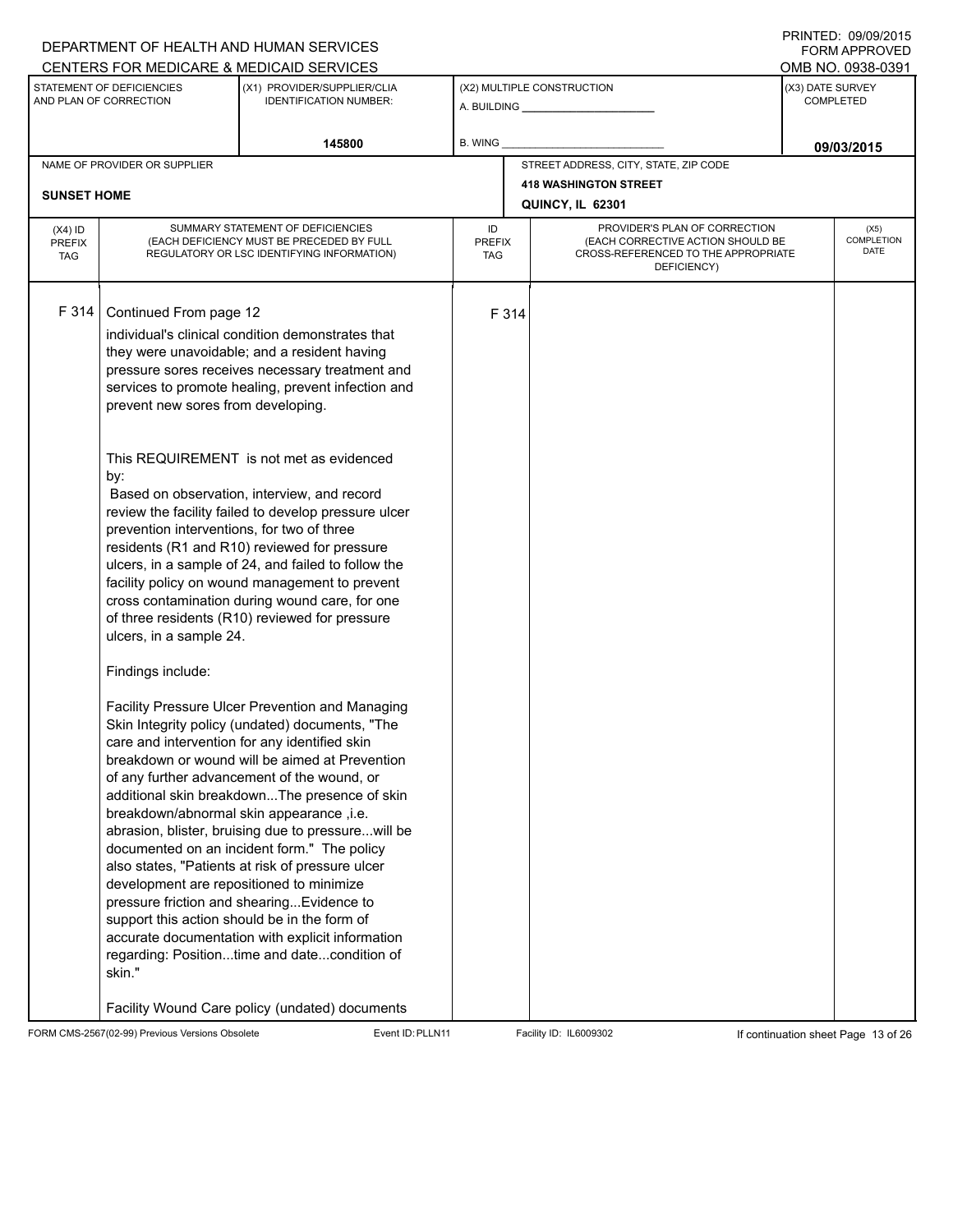|                                                         |                                                                                                                                                                                                                                                                     | DEPARTMENT OF HEALTH AND HUMAN SERVICES<br>CENTERS FOR MEDICARE & MEDICAID SERVICES                                                                                                                                                                                                                                                                                                                                                                                                                                                                                                                                                                                                                                                                                                                                                                                                                                                                                                                                                                                                                                                                                                                                                                                                             |                                   |                                                                                                                          |  | <b>FORM APPROVED</b><br>OMB NO. 0938-0391 |
|---------------------------------------------------------|---------------------------------------------------------------------------------------------------------------------------------------------------------------------------------------------------------------------------------------------------------------------|-------------------------------------------------------------------------------------------------------------------------------------------------------------------------------------------------------------------------------------------------------------------------------------------------------------------------------------------------------------------------------------------------------------------------------------------------------------------------------------------------------------------------------------------------------------------------------------------------------------------------------------------------------------------------------------------------------------------------------------------------------------------------------------------------------------------------------------------------------------------------------------------------------------------------------------------------------------------------------------------------------------------------------------------------------------------------------------------------------------------------------------------------------------------------------------------------------------------------------------------------------------------------------------------------|-----------------------------------|--------------------------------------------------------------------------------------------------------------------------|--|-------------------------------------------|
|                                                         | STATEMENT OF DEFICIENCIES                                                                                                                                                                                                                                           | (X1) PROVIDER/SUPPLIER/CLIA                                                                                                                                                                                                                                                                                                                                                                                                                                                                                                                                                                                                                                                                                                                                                                                                                                                                                                                                                                                                                                                                                                                                                                                                                                                                     |                                   | (X2) MULTIPLE CONSTRUCTION                                                                                               |  | (X3) DATE SURVEY                          |
| AND PLAN OF CORRECTION<br><b>IDENTIFICATION NUMBER:</b> |                                                                                                                                                                                                                                                                     |                                                                                                                                                                                                                                                                                                                                                                                                                                                                                                                                                                                                                                                                                                                                                                                                                                                                                                                                                                                                                                                                                                                                                                                                                                                                                                 |                                   | <b>COMPLETED</b>                                                                                                         |  |                                           |
|                                                         |                                                                                                                                                                                                                                                                     | 145800                                                                                                                                                                                                                                                                                                                                                                                                                                                                                                                                                                                                                                                                                                                                                                                                                                                                                                                                                                                                                                                                                                                                                                                                                                                                                          | <b>B. WING</b>                    |                                                                                                                          |  | 09/03/2015                                |
|                                                         | NAME OF PROVIDER OR SUPPLIER                                                                                                                                                                                                                                        |                                                                                                                                                                                                                                                                                                                                                                                                                                                                                                                                                                                                                                                                                                                                                                                                                                                                                                                                                                                                                                                                                                                                                                                                                                                                                                 |                                   | STREET ADDRESS, CITY, STATE, ZIP CODE                                                                                    |  |                                           |
| <b>SUNSET HOME</b>                                      |                                                                                                                                                                                                                                                                     |                                                                                                                                                                                                                                                                                                                                                                                                                                                                                                                                                                                                                                                                                                                                                                                                                                                                                                                                                                                                                                                                                                                                                                                                                                                                                                 |                                   | <b>418 WASHINGTON STREET</b>                                                                                             |  |                                           |
|                                                         |                                                                                                                                                                                                                                                                     |                                                                                                                                                                                                                                                                                                                                                                                                                                                                                                                                                                                                                                                                                                                                                                                                                                                                                                                                                                                                                                                                                                                                                                                                                                                                                                 |                                   | QUINCY, IL 62301                                                                                                         |  |                                           |
| $(X4)$ ID<br><b>PREFIX</b><br><b>TAG</b>                |                                                                                                                                                                                                                                                                     | SUMMARY STATEMENT OF DEFICIENCIES<br>(EACH DEFICIENCY MUST BE PRECEDED BY FULL<br>REGULATORY OR LSC IDENTIFYING INFORMATION)                                                                                                                                                                                                                                                                                                                                                                                                                                                                                                                                                                                                                                                                                                                                                                                                                                                                                                                                                                                                                                                                                                                                                                    | ID<br><b>PREFIX</b><br><b>TAG</b> | PROVIDER'S PLAN OF CORRECTION<br>(EACH CORRECTIVE ACTION SHOULD BE<br>CROSS-REFERENCED TO THE APPROPRIATE<br>DEFICIENCY) |  | (X5)<br>COMPLETION<br><b>DATE</b>         |
| F 314                                                   | Continued From page 12<br>prevent new sores from developing.<br>by:<br>prevention interventions, for two of three<br>ulcers, in a sample 24.<br>Findings include:<br>breakdown/abnormal skin appearance ,i.e.<br>development are repositioned to minimize<br>skin." | individual's clinical condition demonstrates that<br>they were unavoidable; and a resident having<br>pressure sores receives necessary treatment and<br>services to promote healing, prevent infection and<br>This REQUIREMENT is not met as evidenced<br>Based on observation, interview, and record<br>review the facility failed to develop pressure ulcer<br>residents (R1 and R10) reviewed for pressure<br>ulcers, in a sample of 24, and failed to follow the<br>facility policy on wound management to prevent<br>cross contamination during wound care, for one<br>of three residents (R10) reviewed for pressure<br>Facility Pressure Ulcer Prevention and Managing<br>Skin Integrity policy (undated) documents, "The<br>care and intervention for any identified skin<br>breakdown or wound will be aimed at Prevention<br>of any further advancement of the wound, or<br>additional skin breakdownThe presence of skin<br>abrasion, blister, bruising due to pressure will be<br>documented on an incident form." The policy<br>also states, "Patients at risk of pressure ulcer<br>pressure friction and shearing Evidence to<br>support this action should be in the form of<br>accurate documentation with explicit information<br>regarding: Positiontime and datecondition of | F 314                             |                                                                                                                          |  |                                           |
|                                                         |                                                                                                                                                                                                                                                                     | Facility Wound Care policy (undated) documents                                                                                                                                                                                                                                                                                                                                                                                                                                                                                                                                                                                                                                                                                                                                                                                                                                                                                                                                                                                                                                                                                                                                                                                                                                                  |                                   |                                                                                                                          |  |                                           |

FORM CMS-2567(02-99) Previous Versions Obsolete Event ID:PLLN11 Facility ID: IL6009302 If continuation sheet Page 13 of 26

DEPARTMENT OF HEALTH AND HUMAN SERVICES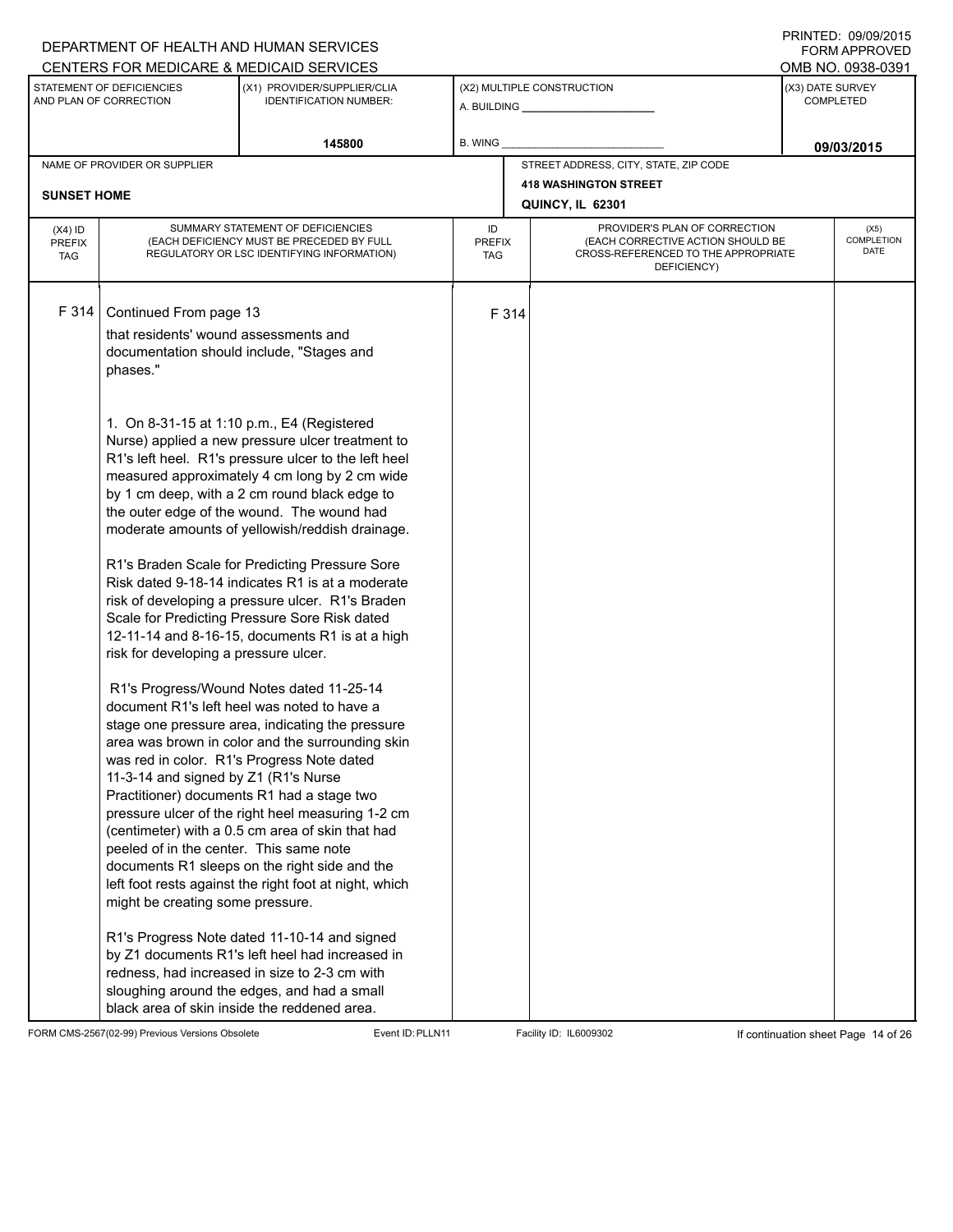## A. BUILDING **\_\_\_\_\_\_\_\_\_\_\_\_\_\_\_\_\_\_\_\_\_\_** (X1) PROVIDER/SUPPLIER/CLIA IDENTIFICATION NUMBER: STATEMENT OF DEFICIENCIES AND PLAN OF CORRECTION (X3) DATE SURVEY COMPLETED FORM APPROVED (X2) MULTIPLE CONSTRUCTION **B. WING** CENTERS FOR MEDICARE & MEDICAID SERVICES **And CENTERS FOR MEDICAL ACCESS** OMB NO. 0938-0391 145800 **B. WING DECISION B. WING** NAME OF PROVIDER OR SUPPLIER STREET ADDRESS, CITY, STATE, ZIP CODE **418 WASHINGTON STREET SUNSET HOME QUINCY, IL 62301** PROVIDER'S PLAN OF CORRECTION (EACH CORRECTIVE ACTION SHOULD BE CROSS-REFERENCED TO THE APPROPRIATE DEFICIENCY) (X5) **COMPLETION** DATE ID PREFIX TAG (X4) ID PREFIX TAG SUMMARY STATEMENT OF DEFICIENCIES (EACH DEFICIENCY MUST BE PRECEDED BY FULL REGULATORY OR LSC IDENTIFYING INFORMATION) F 314 Continued From page 13 F 314 that residents' wound assessments and documentation should include, "Stages and phases." 1. On 8-31-15 at 1:10 p.m., E4 (Registered Nurse) applied a new pressure ulcer treatment to R1's left heel. R1's pressure ulcer to the left heel measured approximately 4 cm long by 2 cm wide by 1 cm deep, with a 2 cm round black edge to the outer edge of the wound. The wound had moderate amounts of yellowish/reddish drainage. R1's Braden Scale for Predicting Pressure Sore Risk dated 9-18-14 indicates R1 is at a moderate risk of developing a pressure ulcer. R1's Braden Scale for Predicting Pressure Sore Risk dated 12-11-14 and 8-16-15, documents R1 is at a high risk for developing a pressure ulcer. R1's Progress/Wound Notes dated 11-25-14 document R1's left heel was noted to have a stage one pressure area, indicating the pressure area was brown in color and the surrounding skin was red in color. R1's Progress Note dated 11-3-14 and signed by Z1 (R1's Nurse Practitioner) documents R1 had a stage two pressure ulcer of the right heel measuring 1-2 cm (centimeter) with a 0.5 cm area of skin that had peeled of in the center. This same note documents R1 sleeps on the right side and the left foot rests against the right foot at night, which might be creating some pressure. R1's Progress Note dated 11-10-14 and signed by Z1 documents R1's left heel had increased in redness, had increased in size to 2-3 cm with sloughing around the edges, and had a small black area of skin inside the reddened area.

FORM CMS-2567(02-99) Previous Versions Obsolete Event ID:PLLN11 Facility ID: IL6009302 If continuation sheet Page 14 of 26

DEPARTMENT OF HEALTH AND HUMAN SERVICES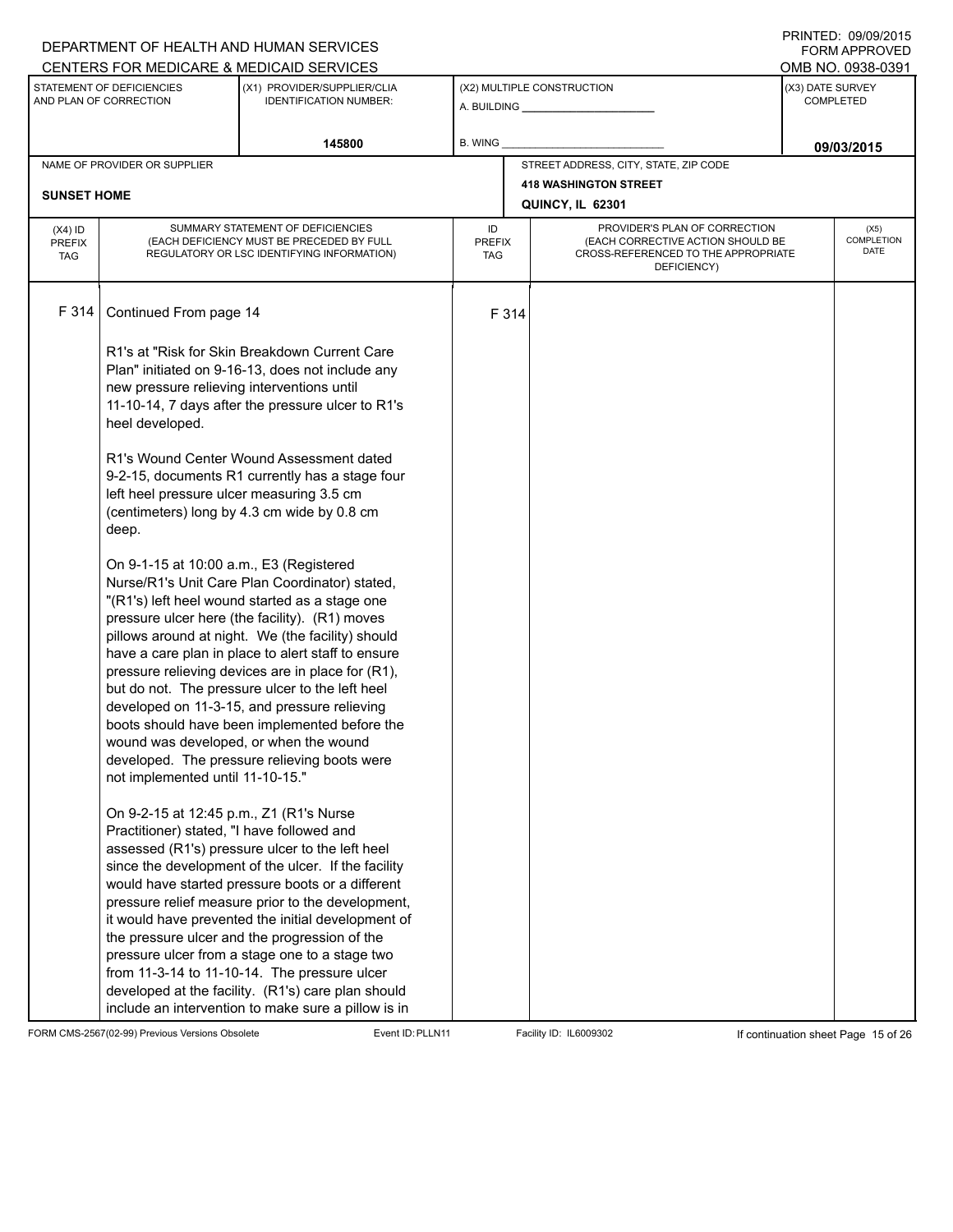## A. BUILDING **\_\_\_\_\_\_\_\_\_\_\_\_\_\_\_\_\_\_\_\_\_\_** (X1) PROVIDER/SUPPLIER/CLIA IDENTIFICATION NUMBER: STATEMENT OF DEFICIENCIES AND PLAN OF CORRECTION (X3) DATE SURVEY COMPLETED FORM APPROVED (X2) MULTIPLE CONSTRUCTION **B. WING** CENTERS FOR MEDICARE & MEDICAID SERVICES **And CENTERS FOR MEDICAL ACCESS** OMB NO. 0938-0391 145800 **B. WING DECISION B. WING** NAME OF PROVIDER OR SUPPLIER STREET ADDRESS, CITY, STATE, ZIP CODE **418 WASHINGTON STREET SUNSET HOME QUINCY, IL 62301** PROVIDER'S PLAN OF CORRECTION (EACH CORRECTIVE ACTION SHOULD BE CROSS-REFERENCED TO THE APPROPRIATE DEFICIENCY) (X5) **COMPLETION** DATE ID PREFIX TAG (X4) ID PREFIX TAG SUMMARY STATEMENT OF DEFICIENCIES (EACH DEFICIENCY MUST BE PRECEDED BY FULL REGULATORY OR LSC IDENTIFYING INFORMATION) F 314 Continued From page 14 F 314 R1's at "Risk for Skin Breakdown Current Care Plan" initiated on 9-16-13, does not include any new pressure relieving interventions until 11-10-14, 7 days after the pressure ulcer to R1's heel developed. R1's Wound Center Wound Assessment dated 9-2-15, documents R1 currently has a stage four left heel pressure ulcer measuring 3.5 cm (centimeters) long by 4.3 cm wide by 0.8 cm deep. On 9-1-15 at 10:00 a.m., E3 (Registered Nurse/R1's Unit Care Plan Coordinator) stated, "(R1's) left heel wound started as a stage one pressure ulcer here (the facility). (R1) moves pillows around at night. We (the facility) should have a care plan in place to alert staff to ensure pressure relieving devices are in place for (R1), but do not. The pressure ulcer to the left heel developed on 11-3-15, and pressure relieving boots should have been implemented before the wound was developed, or when the wound developed. The pressure relieving boots were not implemented until 11-10-15." On 9-2-15 at 12:45 p.m., Z1 (R1's Nurse Practitioner) stated, "I have followed and assessed (R1's) pressure ulcer to the left heel since the development of the ulcer. If the facility would have started pressure boots or a different pressure relief measure prior to the development, it would have prevented the initial development of the pressure ulcer and the progression of the pressure ulcer from a stage one to a stage two from 11-3-14 to 11-10-14. The pressure ulcer developed at the facility. (R1's) care plan should include an intervention to make sure a pillow is in

FORM CMS-2567(02-99) Previous Versions Obsolete Event ID:PLLN11 Facility ID: IL6009302 If continuation sheet Page 15 of 26

DEPARTMENT OF HEALTH AND HUMAN SERVICES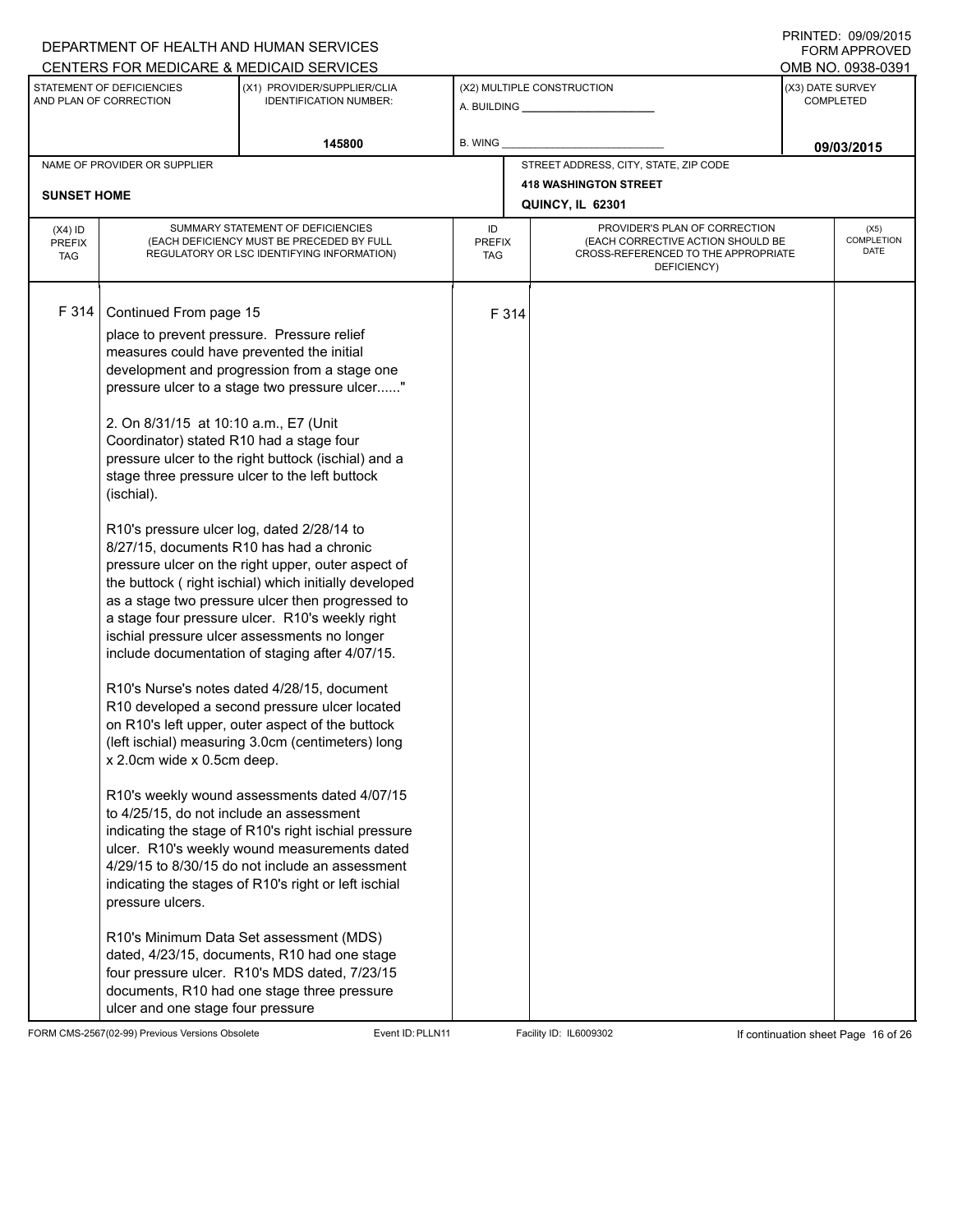## A. BUILDING **\_\_\_\_\_\_\_\_\_\_\_\_\_\_\_\_\_\_\_\_\_\_** (X1) PROVIDER/SUPPLIER/CLIA IDENTIFICATION NUMBER: STATEMENT OF DEFICIENCIES AND PLAN OF CORRECTION (X3) DATE SURVEY COMPLETED FORM APPROVED (X2) MULTIPLE CONSTRUCTION **B. WING** CENTERS FOR MEDICARE & MEDICAID SERVICES **And CENTERS FOR MEDICAL ACCESS** OMB NO. 0938-0391 **145800 09/03/2015** NAME OF PROVIDER OR SUPPLIER STREET ADDRESS, CITY, STATE, ZIP CODE **418 WASHINGTON STREET SUNSET HOME QUINCY, IL 62301** PROVIDER'S PLAN OF CORRECTION (EACH CORRECTIVE ACTION SHOULD BE CROSS-REFERENCED TO THE APPROPRIATE DEFICIENCY) (X5) **COMPLETION** DATE ID PREFIX TAG (X4) ID PREFIX TAG SUMMARY STATEMENT OF DEFICIENCIES (EACH DEFICIENCY MUST BE PRECEDED BY FULL REGULATORY OR LSC IDENTIFYING INFORMATION) F 314 Continued From page 15 F 314 place to prevent pressure. Pressure relief measures could have prevented the initial development and progression from a stage one pressure ulcer to a stage two pressure ulcer......" 2. On 8/31/15 at 10:10 a.m., E7 (Unit Coordinator) stated R10 had a stage four pressure ulcer to the right buttock (ischial) and a stage three pressure ulcer to the left buttock (ischial). R10's pressure ulcer log, dated 2/28/14 to 8/27/15, documents R10 has had a chronic pressure ulcer on the right upper, outer aspect of the buttock ( right ischial) which initially developed as a stage two pressure ulcer then progressed to a stage four pressure ulcer. R10's weekly right ischial pressure ulcer assessments no longer include documentation of staging after 4/07/15. R10's Nurse's notes dated 4/28/15, document R10 developed a second pressure ulcer located on R10's left upper, outer aspect of the buttock (left ischial) measuring 3.0cm (centimeters) long x 2.0cm wide x 0.5cm deep. R10's weekly wound assessments dated 4/07/15 to 4/25/15, do not include an assessment indicating the stage of R10's right ischial pressure ulcer. R10's weekly wound measurements dated 4/29/15 to 8/30/15 do not include an assessment indicating the stages of R10's right or left ischial pressure ulcers. R10's Minimum Data Set assessment (MDS) dated, 4/23/15, documents, R10 had one stage four pressure ulcer. R10's MDS dated, 7/23/15 documents, R10 had one stage three pressure ulcer and one stage four pressure

FORM CMS-2567(02-99) Previous Versions Obsolete Event ID:PLLN11 Facility ID: IL6009302 If continuation sheet Page 16 of 26

DEPARTMENT OF HEALTH AND HUMAN SERVICES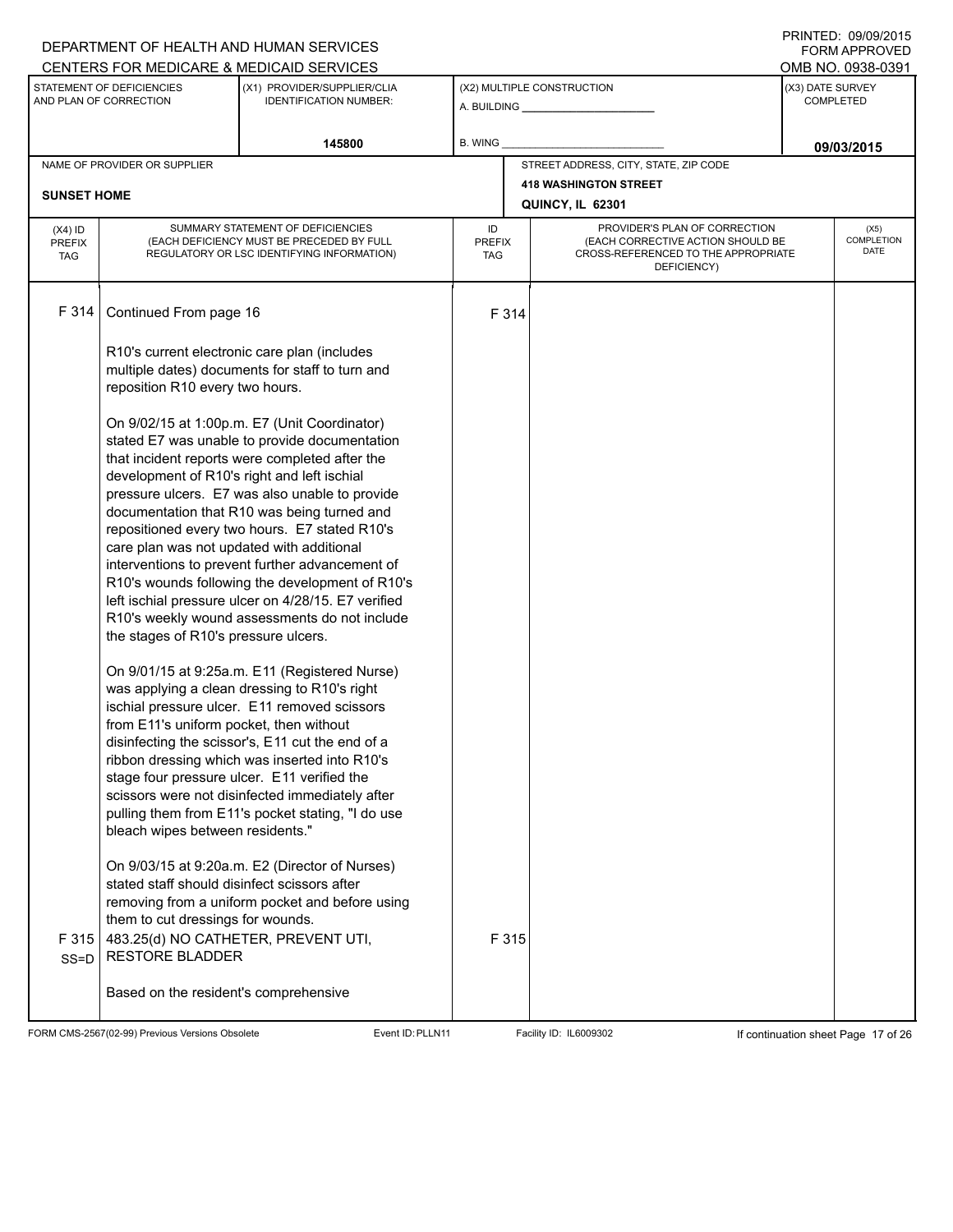## A. BUILDING **\_\_\_\_\_\_\_\_\_\_\_\_\_\_\_\_\_\_\_\_\_\_** (X1) PROVIDER/SUPPLIER/CLIA IDENTIFICATION NUMBER: STATEMENT OF DEFICIENCIES AND PLAN OF CORRECTION (X3) DATE SURVEY COMPLETED (X2) MULTIPLE CONSTRUCTION **B. WING** CENTERS FOR MEDICARE & MEDICAID SERVICES **And CENTERS FOR MEDICAL ACCESS** OMB NO. 0938-0391 145800 **B. WING DECISION B. WING** NAME OF PROVIDER OR SUPPLIER STREET ADDRESS, CITY, STATE, ZIP CODE **418 WASHINGTON STREET SUNSET HOME QUINCY, IL 62301** PROVIDER'S PLAN OF CORRECTION (EACH CORRECTIVE ACTION SHOULD BE CROSS-REFERENCED TO THE APPROPRIATE DEFICIENCY) (X5) **COMPLETION** DATE ID PREFIX TAG (X4) ID PREFIX TAG SUMMARY STATEMENT OF DEFICIENCIES (EACH DEFICIENCY MUST BE PRECEDED BY FULL REGULATORY OR LSC IDENTIFYING INFORMATION) F 314 Continued From page 16 F 314 R10's current electronic care plan (includes multiple dates) documents for staff to turn and reposition R10 every two hours. On 9/02/15 at 1:00p.m. E7 (Unit Coordinator) stated E7 was unable to provide documentation that incident reports were completed after the development of R10's right and left ischial pressure ulcers. E7 was also unable to provide documentation that R10 was being turned and repositioned every two hours. E7 stated R10's care plan was not updated with additional interventions to prevent further advancement of R10's wounds following the development of R10's left ischial pressure ulcer on 4/28/15. E7 verified R10's weekly wound assessments do not include the stages of R10's pressure ulcers. On 9/01/15 at 9:25a.m. E11 (Registered Nurse) was applying a clean dressing to R10's right ischial pressure ulcer. E11 removed scissors from E11's uniform pocket, then without disinfecting the scissor's, E11 cut the end of a ribbon dressing which was inserted into R10's stage four pressure ulcer. E11 verified the scissors were not disinfected immediately after pulling them from E11's pocket stating, "I do use bleach wipes between residents." On 9/03/15 at 9:20a.m. E2 (Director of Nurses) stated staff should disinfect scissors after removing from a uniform pocket and before using them to cut dressings for wounds. F 315 SS=D 483.25(d) NO CATHETER, PREVENT UTI, RESTORE BLADDER Based on the resident's comprehensive F 315

FORM CMS-2567(02-99) Previous Versions Obsolete Event ID:PLLN11 Facility ID: IL6009302 If continuation sheet Page 17 of 26

DEPARTMENT OF HEALTH AND HUMAN SERVICES

PRINTED: 09/09/2015 FORM APPROVED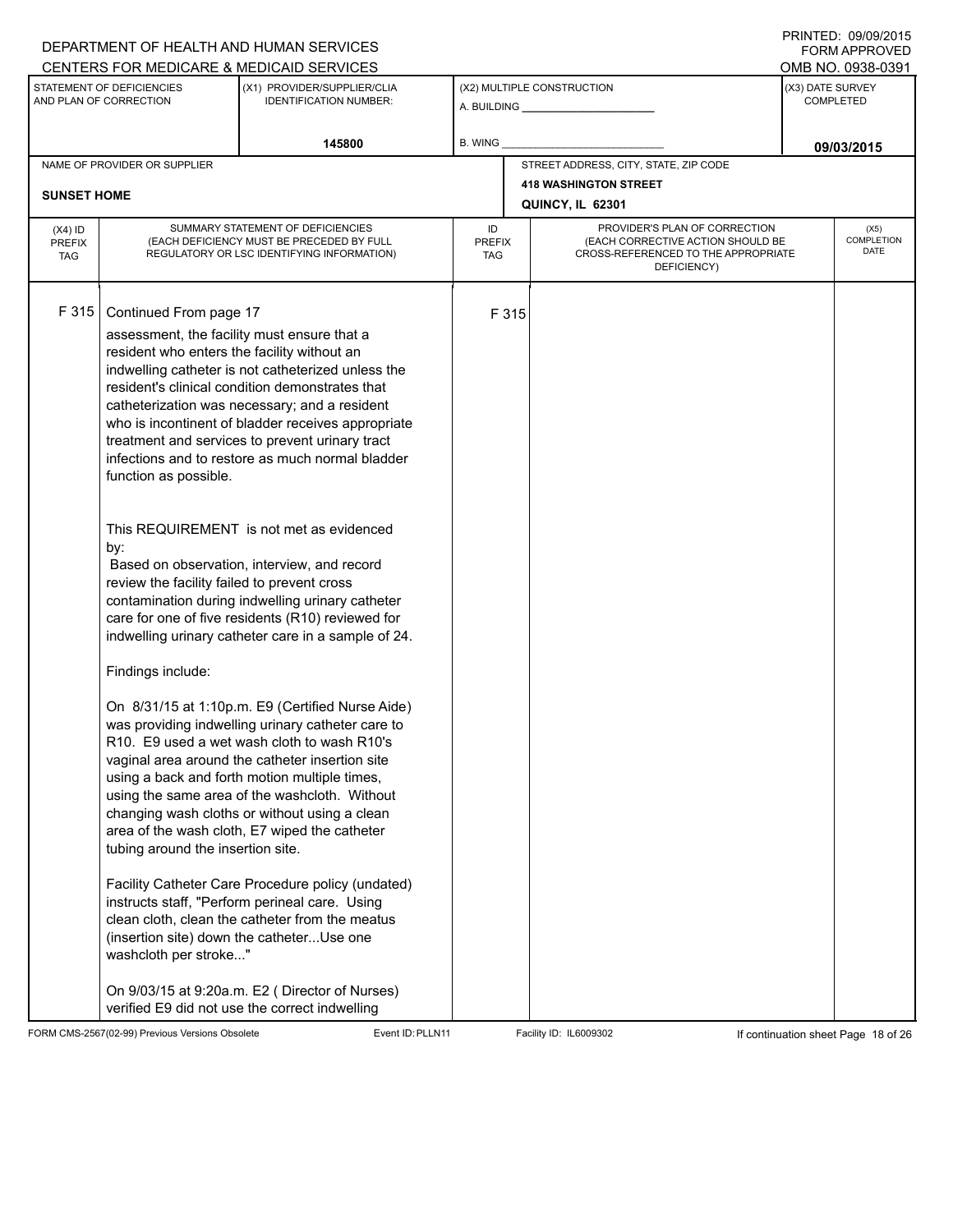# A. BUILDING **\_\_\_\_\_\_\_\_\_\_\_\_\_\_\_\_\_\_\_\_\_\_** (X1) PROVIDER/SUPPLIER/CLIA IDENTIFICATION NUMBER: STATEMENT OF DEFICIENCIES AND PLAN OF CORRECTION (X3) DATE SURVEY COMPLETED FORM APPROVED (X2) MULTIPLE CONSTRUCTION **B. WING** CENTERS FOR MEDICARE & MEDICAID SERVICES **And CENTERS FOR MEDICAL ACCESS** OMB NO. 0938-0391 145800 **B. WING DECISION B. WING** NAME OF PROVIDER OR SUPPLIER STREET ADDRESS, CITY, STATE, ZIP CODE **418 WASHINGTON STREET SUNSET HOME QUINCY, IL 62301** PROVIDER'S PLAN OF CORRECTION (EACH CORRECTIVE ACTION SHOULD BE CROSS-REFERENCED TO THE APPROPRIATE DEFICIENCY) (X5) **COMPLETION** DATE ID PREFIX TAG (X4) ID PREFIX TAG SUMMARY STATEMENT OF DEFICIENCIES (EACH DEFICIENCY MUST BE PRECEDED BY FULL REGULATORY OR LSC IDENTIFYING INFORMATION) F 315 Continued From page 17 F 315 assessment, the facility must ensure that a resident who enters the facility without an indwelling catheter is not catheterized unless the resident's clinical condition demonstrates that catheterization was necessary; and a resident who is incontinent of bladder receives appropriate treatment and services to prevent urinary tract infections and to restore as much normal bladder function as possible. This REQUIREMENT is not met as evidenced by: Based on observation, interview, and record review the facility failed to prevent cross contamination during indwelling urinary catheter care for one of five residents (R10) reviewed for indwelling urinary catheter care in a sample of 24. Findings include: On 8/31/15 at 1:10p.m. E9 (Certified Nurse Aide) was providing indwelling urinary catheter care to R10. E9 used a wet wash cloth to wash R10's vaginal area around the catheter insertion site using a back and forth motion multiple times, using the same area of the washcloth. Without changing wash cloths or without using a clean area of the wash cloth, E7 wiped the catheter tubing around the insertion site. Facility Catheter Care Procedure policy (undated) instructs staff, "Perform perineal care. Using clean cloth, clean the catheter from the meatus (insertion site) down the catheter...Use one washcloth per stroke..." On 9/03/15 at 9:20a.m. E2 ( Director of Nurses) verified E9 did not use the correct indwelling

FORM CMS-2567(02-99) Previous Versions Obsolete Event ID:PLLN11 Facility ID: IL6009302 If continuation sheet Page 18 of 26

DEPARTMENT OF HEALTH AND HUMAN SERVICES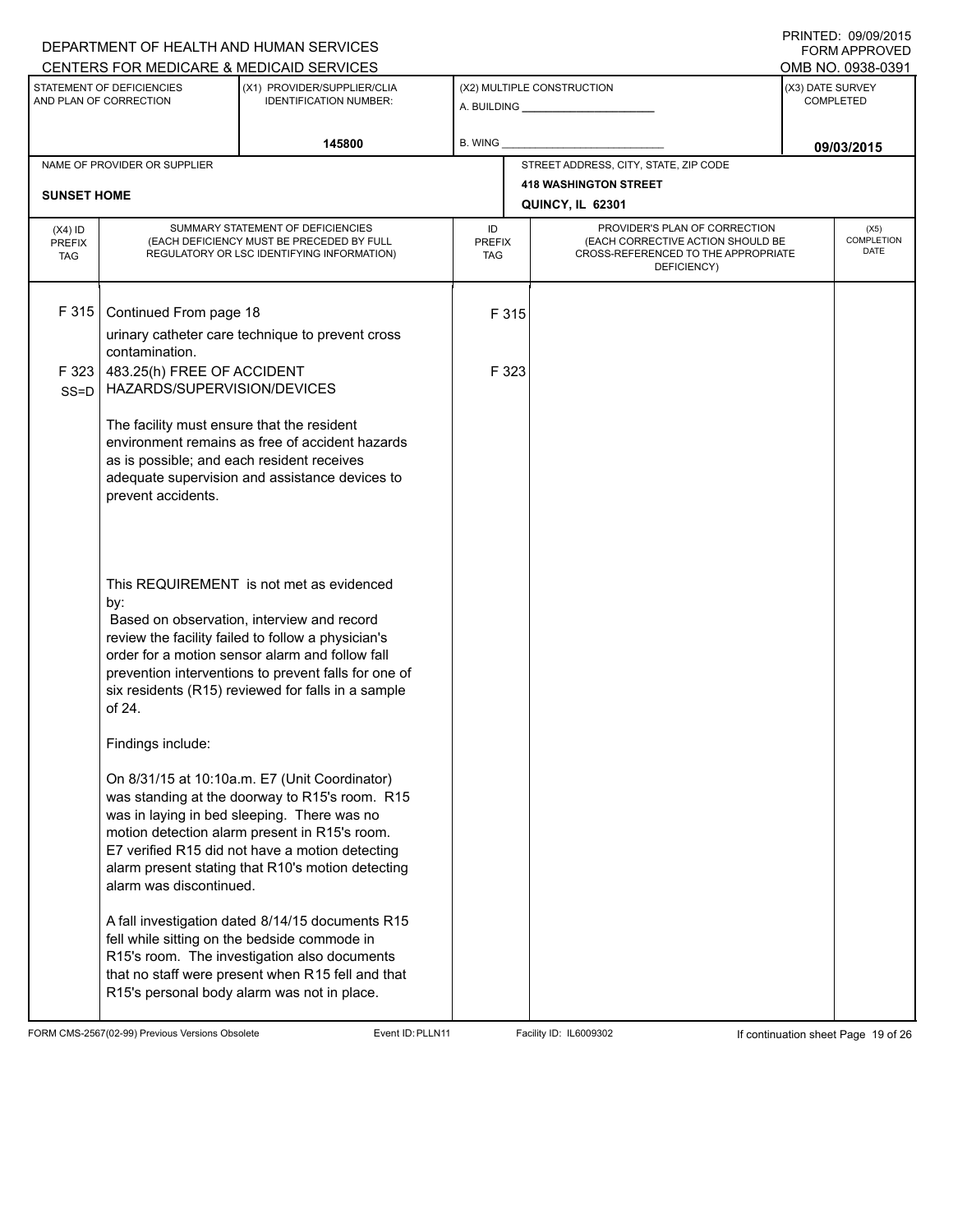|                                                                                                                     |                                                                                                                | DEPARTMENT OF HEALTH AND HUMAN SERVICES                                                                                                                                                                                                                                                                       |                            |                            |                                                                                                                          |  | FORM APPROVED                     |
|---------------------------------------------------------------------------------------------------------------------|----------------------------------------------------------------------------------------------------------------|---------------------------------------------------------------------------------------------------------------------------------------------------------------------------------------------------------------------------------------------------------------------------------------------------------------|----------------------------|----------------------------|--------------------------------------------------------------------------------------------------------------------------|--|-----------------------------------|
|                                                                                                                     |                                                                                                                | CENTERS FOR MEDICARE & MEDICAID SERVICES                                                                                                                                                                                                                                                                      |                            |                            |                                                                                                                          |  | OMB NO. 0938-0391                 |
| STATEMENT OF DEFICIENCIES<br>(X1) PROVIDER/SUPPLIER/CLIA<br>AND PLAN OF CORRECTION<br><b>IDENTIFICATION NUMBER:</b> |                                                                                                                |                                                                                                                                                                                                                                                                                                               |                            | (X2) MULTIPLE CONSTRUCTION | (X3) DATE SURVEY<br><b>COMPLETED</b>                                                                                     |  |                                   |
|                                                                                                                     |                                                                                                                | 145800                                                                                                                                                                                                                                                                                                        | B. WING                    |                            |                                                                                                                          |  | 09/03/2015                        |
|                                                                                                                     | NAME OF PROVIDER OR SUPPLIER                                                                                   |                                                                                                                                                                                                                                                                                                               |                            |                            | STREET ADDRESS, CITY, STATE, ZIP CODE                                                                                    |  |                                   |
| <b>SUNSET HOME</b>                                                                                                  |                                                                                                                |                                                                                                                                                                                                                                                                                                               |                            |                            | <b>418 WASHINGTON STREET</b>                                                                                             |  |                                   |
|                                                                                                                     |                                                                                                                |                                                                                                                                                                                                                                                                                                               |                            |                            | QUINCY, IL 62301                                                                                                         |  |                                   |
| $(X4)$ ID<br><b>PREFIX</b><br><b>TAG</b>                                                                            |                                                                                                                | SUMMARY STATEMENT OF DEFICIENCIES<br>(EACH DEFICIENCY MUST BE PRECEDED BY FULL<br>REGULATORY OR LSC IDENTIFYING INFORMATION)                                                                                                                                                                                  | ID<br><b>PREFIX</b><br>TAG |                            | PROVIDER'S PLAN OF CORRECTION<br>(EACH CORRECTIVE ACTION SHOULD BE<br>CROSS-REFERENCED TO THE APPROPRIATE<br>DEFICIENCY) |  | (X5)<br><b>COMPLETION</b><br>DATE |
| F 315                                                                                                               | Continued From page 18<br>contamination.                                                                       | urinary catheter care technique to prevent cross                                                                                                                                                                                                                                                              |                            | F 315                      |                                                                                                                          |  |                                   |
| F 323<br>$SS = D$                                                                                                   | 483.25(h) FREE OF ACCIDENT<br>HAZARDS/SUPERVISION/DEVICES                                                      |                                                                                                                                                                                                                                                                                                               |                            | F 323                      |                                                                                                                          |  |                                   |
|                                                                                                                     | The facility must ensure that the resident<br>as is possible; and each resident receives<br>prevent accidents. | environment remains as free of accident hazards<br>adequate supervision and assistance devices to                                                                                                                                                                                                             |                            |                            |                                                                                                                          |  |                                   |
|                                                                                                                     | by:<br>of 24.                                                                                                  | This REQUIREMENT is not met as evidenced<br>Based on observation, interview and record<br>review the facility failed to follow a physician's<br>order for a motion sensor alarm and follow fall<br>prevention interventions to prevent falls for one of<br>six residents (R15) reviewed for falls in a sample |                            |                            |                                                                                                                          |  |                                   |
|                                                                                                                     | Findings include:                                                                                              |                                                                                                                                                                                                                                                                                                               |                            |                            |                                                                                                                          |  |                                   |
|                                                                                                                     | alarm was discontinued.                                                                                        | On 8/31/15 at 10:10a.m. E7 (Unit Coordinator)<br>was standing at the doorway to R15's room. R15<br>was in laying in bed sleeping. There was no<br>motion detection alarm present in R15's room.<br>E7 verified R15 did not have a motion detecting<br>alarm present stating that R10's motion detecting       |                            |                            |                                                                                                                          |  |                                   |
|                                                                                                                     |                                                                                                                | A fall investigation dated 8/14/15 documents R15<br>fell while sitting on the bedside commode in<br>R15's room. The investigation also documents<br>that no staff were present when R15 fell and that<br>R15's personal body alarm was not in place.                                                          |                            |                            |                                                                                                                          |  |                                   |

FORM CMS-2567(02-99) Previous Versions Obsolete Event ID:PLLN11 Facility ID: IL6009302 If continuation sheet Page 19 of 26

PRINTED: 09/09/2015 FORM APPROVED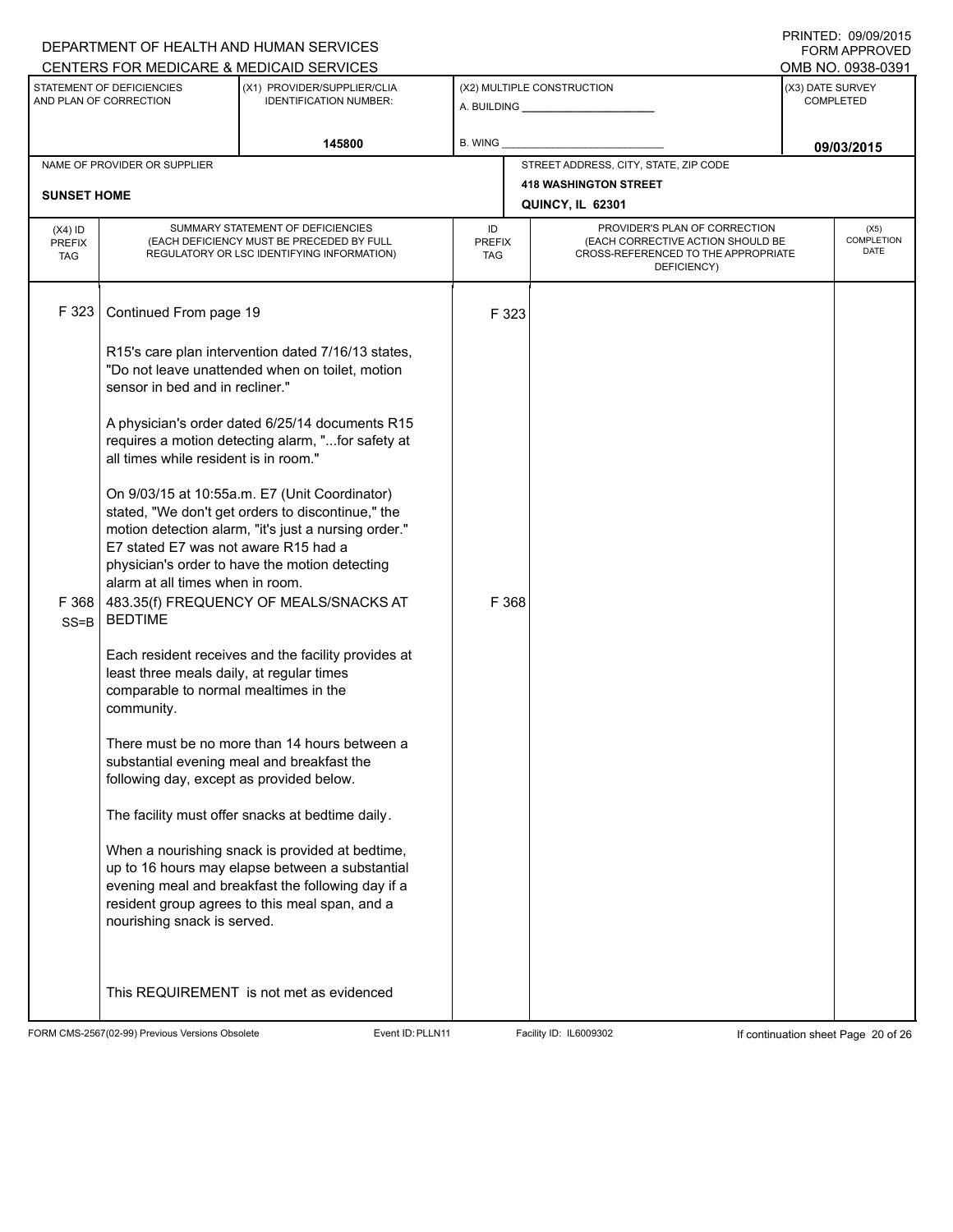|                                                                                                                     |                                                                                                  | DEPARTMENT OF HEALTH AND HUMAN SERVICES<br>CENTERS FOR MEDICARE & MEDICAID SERVICES                                                                                                                                                                    |                                   |       |                                                                                                                          |                                      | FORM APPROVED<br>OMB NO. 0938-0391 |
|---------------------------------------------------------------------------------------------------------------------|--------------------------------------------------------------------------------------------------|--------------------------------------------------------------------------------------------------------------------------------------------------------------------------------------------------------------------------------------------------------|-----------------------------------|-------|--------------------------------------------------------------------------------------------------------------------------|--------------------------------------|------------------------------------|
| STATEMENT OF DEFICIENCIES<br>(X1) PROVIDER/SUPPLIER/CLIA<br>AND PLAN OF CORRECTION<br><b>IDENTIFICATION NUMBER:</b> |                                                                                                  |                                                                                                                                                                                                                                                        | (X2) MULTIPLE CONSTRUCTION        |       |                                                                                                                          | (X3) DATE SURVEY<br><b>COMPLETED</b> |                                    |
| 145800                                                                                                              |                                                                                                  |                                                                                                                                                                                                                                                        | <b>B. WING</b>                    |       |                                                                                                                          |                                      | 09/03/2015                         |
| <b>SUNSET HOME</b>                                                                                                  | NAME OF PROVIDER OR SUPPLIER                                                                     |                                                                                                                                                                                                                                                        |                                   |       | STREET ADDRESS, CITY, STATE, ZIP CODE<br><b>418 WASHINGTON STREET</b>                                                    |                                      |                                    |
|                                                                                                                     |                                                                                                  |                                                                                                                                                                                                                                                        |                                   |       | QUINCY, IL 62301                                                                                                         |                                      |                                    |
| $(X4)$ ID<br><b>PREFIX</b><br><b>TAG</b>                                                                            |                                                                                                  | SUMMARY STATEMENT OF DEFICIENCIES<br>(EACH DEFICIENCY MUST BE PRECEDED BY FULL<br>REGULATORY OR LSC IDENTIFYING INFORMATION)                                                                                                                           | ID<br><b>PREFIX</b><br><b>TAG</b> |       | PROVIDER'S PLAN OF CORRECTION<br>(EACH CORRECTIVE ACTION SHOULD BE<br>CROSS-REFERENCED TO THE APPROPRIATE<br>DEFICIENCY) |                                      | (X5)<br>COMPLETION<br><b>DATE</b>  |
| F 323                                                                                                               | Continued From page 19                                                                           |                                                                                                                                                                                                                                                        |                                   | F 323 |                                                                                                                          |                                      |                                    |
|                                                                                                                     | sensor in bed and in recliner."                                                                  | R15's care plan intervention dated 7/16/13 states,<br>"Do not leave unattended when on toilet, motion                                                                                                                                                  |                                   |       |                                                                                                                          |                                      |                                    |
|                                                                                                                     | all times while resident is in room."                                                            | A physician's order dated 6/25/14 documents R15<br>requires a motion detecting alarm, "for safety at                                                                                                                                                   |                                   |       |                                                                                                                          |                                      |                                    |
| F 368<br>$SS = B$                                                                                                   | E7 stated E7 was not aware R15 had a<br>alarm at all times when in room.<br><b>BEDTIME</b>       | On 9/03/15 at 10:55a.m. E7 (Unit Coordinator)<br>stated, "We don't get orders to discontinue," the<br>motion detection alarm, "it's just a nursing order."<br>physician's order to have the motion detecting<br>483.35(f) FREQUENCY OF MEALS/SNACKS AT |                                   | F 368 |                                                                                                                          |                                      |                                    |
|                                                                                                                     | least three meals daily, at regular times<br>comparable to normal mealtimes in the<br>community. | Each resident receives and the facility provides at                                                                                                                                                                                                    |                                   |       |                                                                                                                          |                                      |                                    |
|                                                                                                                     | following day, except as provided below.                                                         | There must be no more than 14 hours between a<br>substantial evening meal and breakfast the                                                                                                                                                            |                                   |       |                                                                                                                          |                                      |                                    |
|                                                                                                                     |                                                                                                  | The facility must offer snacks at bedtime daily.                                                                                                                                                                                                       |                                   |       |                                                                                                                          |                                      |                                    |
|                                                                                                                     | nourishing snack is served.                                                                      | When a nourishing snack is provided at bedtime,<br>up to 16 hours may elapse between a substantial<br>evening meal and breakfast the following day if a<br>resident group agrees to this meal span, and a                                              |                                   |       |                                                                                                                          |                                      |                                    |
|                                                                                                                     |                                                                                                  | This REQUIREMENT is not met as evidenced                                                                                                                                                                                                               |                                   |       |                                                                                                                          |                                      |                                    |

FORM CMS-2567(02-99) Previous Versions Obsolete Event ID:PLLN11 Facility ID: IL6009302 If continuation sheet Page 20 of 26

DEPARTMENT OF HEALTH AND HUMAN SERVICES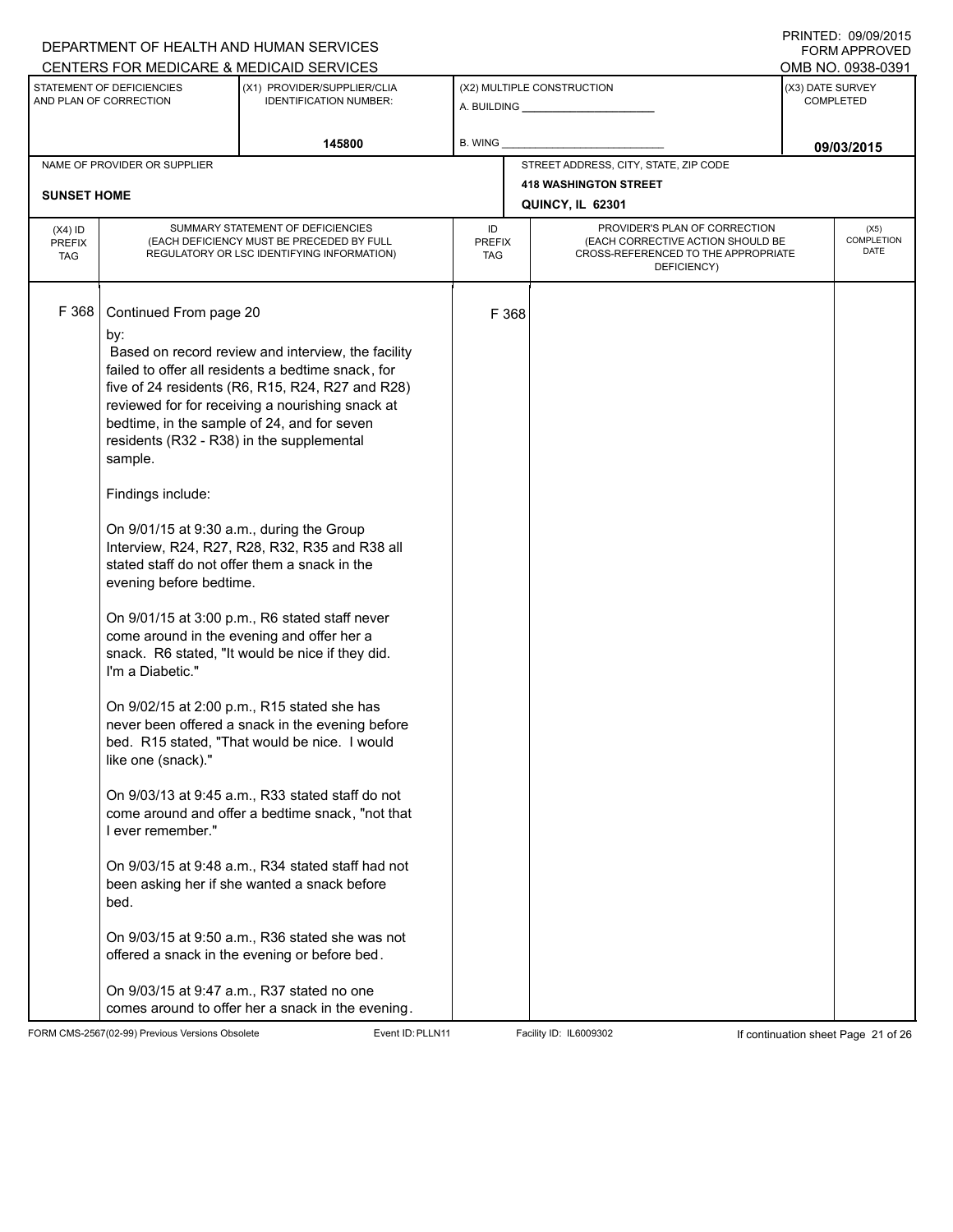|                                                                                                                     |                                                                                                                                                                                                                                                           | DEPARTMENT OF HEALTH AND HUMAN SERVICES                                                                                                                                                                                                                                                                                                                                                                                                                                                                                                                                                                                                                                                                                                                                                                                                                                                                                                                                                                                                                                                        |                            |                                                              |                                                                                                                          |            | <b>FORM APPROVED</b>              |
|---------------------------------------------------------------------------------------------------------------------|-----------------------------------------------------------------------------------------------------------------------------------------------------------------------------------------------------------------------------------------------------------|------------------------------------------------------------------------------------------------------------------------------------------------------------------------------------------------------------------------------------------------------------------------------------------------------------------------------------------------------------------------------------------------------------------------------------------------------------------------------------------------------------------------------------------------------------------------------------------------------------------------------------------------------------------------------------------------------------------------------------------------------------------------------------------------------------------------------------------------------------------------------------------------------------------------------------------------------------------------------------------------------------------------------------------------------------------------------------------------|----------------------------|--------------------------------------------------------------|--------------------------------------------------------------------------------------------------------------------------|------------|-----------------------------------|
|                                                                                                                     |                                                                                                                                                                                                                                                           | CENTERS FOR MEDICARE & MEDICAID SERVICES                                                                                                                                                                                                                                                                                                                                                                                                                                                                                                                                                                                                                                                                                                                                                                                                                                                                                                                                                                                                                                                       |                            |                                                              |                                                                                                                          |            | OMB NO. 0938-0391                 |
| STATEMENT OF DEFICIENCIES<br>(X1) PROVIDER/SUPPLIER/CLIA<br>AND PLAN OF CORRECTION<br><b>IDENTIFICATION NUMBER:</b> |                                                                                                                                                                                                                                                           |                                                                                                                                                                                                                                                                                                                                                                                                                                                                                                                                                                                                                                                                                                                                                                                                                                                                                                                                                                                                                                                                                                |                            | (X2) MULTIPLE CONSTRUCTION<br>A. BUILDING <b>A.</b> BUILDING | (X3) DATE SURVEY<br><b>COMPLETED</b>                                                                                     |            |                                   |
| 145800                                                                                                              |                                                                                                                                                                                                                                                           | B. WING                                                                                                                                                                                                                                                                                                                                                                                                                                                                                                                                                                                                                                                                                                                                                                                                                                                                                                                                                                                                                                                                                        |                            |                                                              |                                                                                                                          | 09/03/2015 |                                   |
|                                                                                                                     | NAME OF PROVIDER OR SUPPLIER                                                                                                                                                                                                                              |                                                                                                                                                                                                                                                                                                                                                                                                                                                                                                                                                                                                                                                                                                                                                                                                                                                                                                                                                                                                                                                                                                |                            |                                                              | STREET ADDRESS, CITY, STATE, ZIP CODE                                                                                    |            |                                   |
|                                                                                                                     |                                                                                                                                                                                                                                                           |                                                                                                                                                                                                                                                                                                                                                                                                                                                                                                                                                                                                                                                                                                                                                                                                                                                                                                                                                                                                                                                                                                |                            |                                                              | <b>418 WASHINGTON STREET</b>                                                                                             |            |                                   |
| <b>SUNSET HOME</b>                                                                                                  |                                                                                                                                                                                                                                                           |                                                                                                                                                                                                                                                                                                                                                                                                                                                                                                                                                                                                                                                                                                                                                                                                                                                                                                                                                                                                                                                                                                |                            |                                                              | QUINCY, IL 62301                                                                                                         |            |                                   |
| $(X4)$ ID<br><b>PREFIX</b><br><b>TAG</b>                                                                            |                                                                                                                                                                                                                                                           | SUMMARY STATEMENT OF DEFICIENCIES<br>(EACH DEFICIENCY MUST BE PRECEDED BY FULL<br>REGULATORY OR LSC IDENTIFYING INFORMATION)                                                                                                                                                                                                                                                                                                                                                                                                                                                                                                                                                                                                                                                                                                                                                                                                                                                                                                                                                                   | ID<br><b>PREFIX</b><br>TAG |                                                              | PROVIDER'S PLAN OF CORRECTION<br>(EACH CORRECTIVE ACTION SHOULD BE<br>CROSS-REFERENCED TO THE APPROPRIATE<br>DEFICIENCY) |            | (X5)<br>COMPLETION<br><b>DATE</b> |
| F 368                                                                                                               | Continued From page 20<br>by:<br>residents (R32 - R38) in the supplemental<br>sample.<br>Findings include:<br>On 9/01/15 at 9:30 a.m., during the Group<br>evening before bedtime.<br>I'm a Diabetic."<br>like one (snack)."<br>I ever remember."<br>bed. | Based on record review and interview, the facility<br>failed to offer all residents a bedtime snack, for<br>five of 24 residents (R6, R15, R24, R27 and R28)<br>reviewed for for receiving a nourishing snack at<br>bedtime, in the sample of 24, and for seven<br>Interview, R24, R27, R28, R32, R35 and R38 all<br>stated staff do not offer them a snack in the<br>On 9/01/15 at 3:00 p.m., R6 stated staff never<br>come around in the evening and offer her a<br>snack. R6 stated, "It would be nice if they did.<br>On 9/02/15 at 2:00 p.m., R15 stated she has<br>never been offered a snack in the evening before<br>bed. R15 stated, "That would be nice. I would<br>On 9/03/13 at 9:45 a.m., R33 stated staff do not<br>come around and offer a bedtime snack, "not that<br>On 9/03/15 at 9:48 a.m., R34 stated staff had not<br>been asking her if she wanted a snack before<br>On 9/03/15 at 9:50 a.m., R36 stated she was not<br>offered a snack in the evening or before bed.<br>On 9/03/15 at 9:47 a.m., R37 stated no one<br>comes around to offer her a snack in the evening. |                            | F 368                                                        |                                                                                                                          |            |                                   |

FORM CMS-2567(02-99) Previous Versions Obsolete Event ID:PLLN11 Facility ID: IL6009302 If continuation sheet Page 21 of 26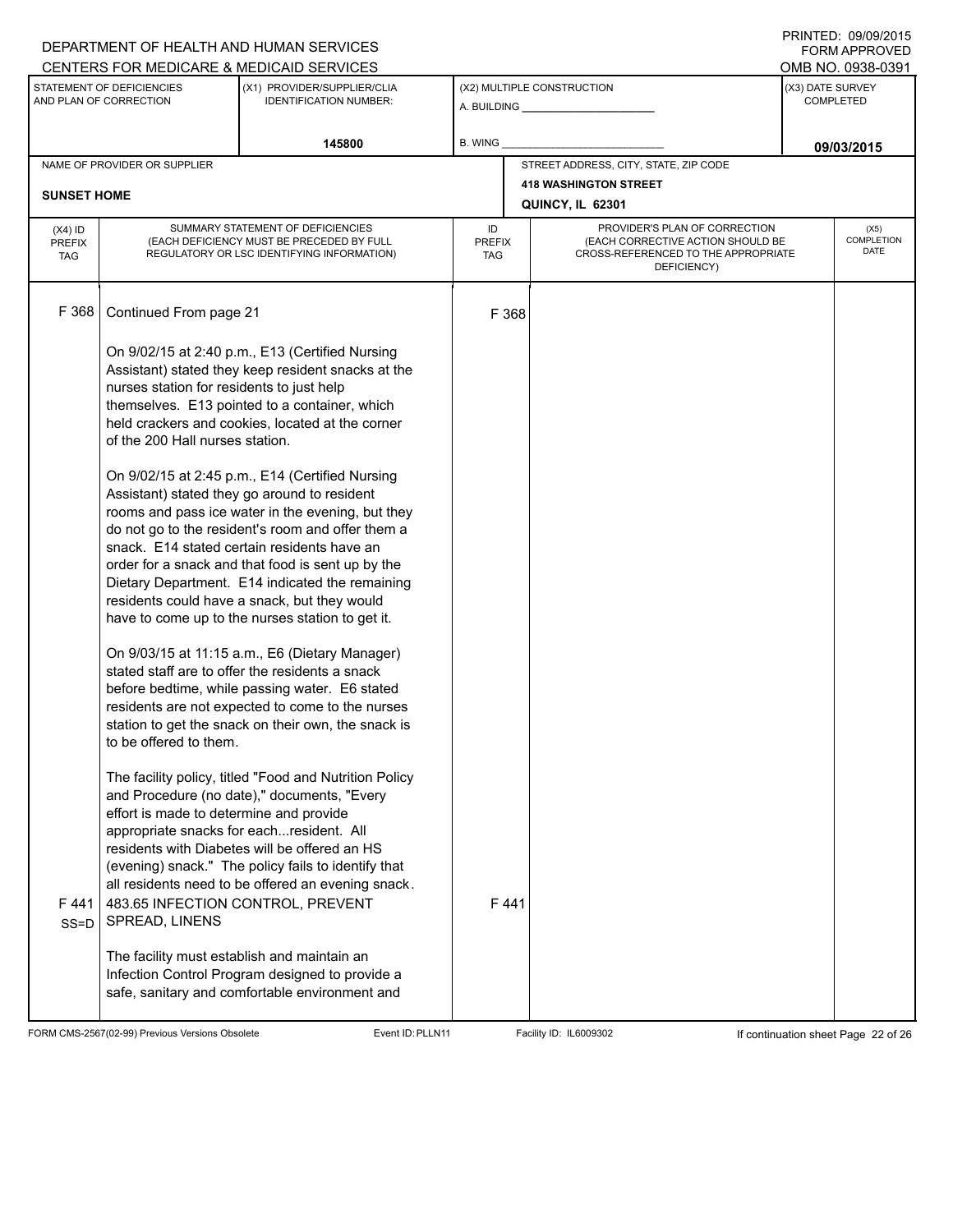## A. BUILDING **\_\_\_\_\_\_\_\_\_\_\_\_\_\_\_\_\_\_\_\_\_\_** (X1) PROVIDER/SUPPLIER/CLIA IDENTIFICATION NUMBER: STATEMENT OF DEFICIENCIES AND PLAN OF CORRECTION (X3) DATE SURVEY COMPLETED FORM APPROVED (X2) MULTIPLE CONSTRUCTION **B. WING** CENTERS FOR MEDICARE & MEDICAID SERVICES **And CENTERS FOR MEDICAL ACCESS** OMB NO. 0938-0391 145800 **B. WING DECISION B. WING** NAME OF PROVIDER OR SUPPLIER STREET ADDRESS, CITY, STATE, ZIP CODE **418 WASHINGTON STREET SUNSET HOME QUINCY, IL 62301** PROVIDER'S PLAN OF CORRECTION (EACH CORRECTIVE ACTION SHOULD BE CROSS-REFERENCED TO THE APPROPRIATE DEFICIENCY) (X5) **COMPLETION** DATE ID PREFIX TAG (X4) ID PREFIX TAG SUMMARY STATEMENT OF DEFICIENCIES (EACH DEFICIENCY MUST BE PRECEDED BY FULL REGULATORY OR LSC IDENTIFYING INFORMATION) F 368 Continued From page 21 F 368 On 9/02/15 at 2:40 p.m., E13 (Certified Nursing Assistant) stated they keep resident snacks at the nurses station for residents to just help themselves. E13 pointed to a container, which held crackers and cookies, located at the corner of the 200 Hall nurses station. On 9/02/15 at 2:45 p.m., E14 (Certified Nursing Assistant) stated they go around to resident rooms and pass ice water in the evening, but they do not go to the resident's room and offer them a snack. E14 stated certain residents have an order for a snack and that food is sent up by the Dietary Department. E14 indicated the remaining residents could have a snack, but they would have to come up to the nurses station to get it. On 9/03/15 at 11:15 a.m., E6 (Dietary Manager) stated staff are to offer the residents a snack before bedtime, while passing water. E6 stated residents are not expected to come to the nurses station to get the snack on their own, the snack is to be offered to them. The facility policy, titled "Food and Nutrition Policy and Procedure (no date)," documents, "Every effort is made to determine and provide appropriate snacks for each...resident. All residents with Diabetes will be offered an HS (evening) snack." The policy fails to identify that all residents need to be offered an evening snack. F 441 SS=D 483.65 INFECTION CONTROL, PREVENT SPREAD, LINENS The facility must establish and maintain an Infection Control Program designed to provide a safe, sanitary and comfortable environment and F 441

FORM CMS-2567(02-99) Previous Versions Obsolete Event ID:PLLN11 Facility ID: IL6009302 If continuation sheet Page 22 of 26

DEPARTMENT OF HEALTH AND HUMAN SERVICES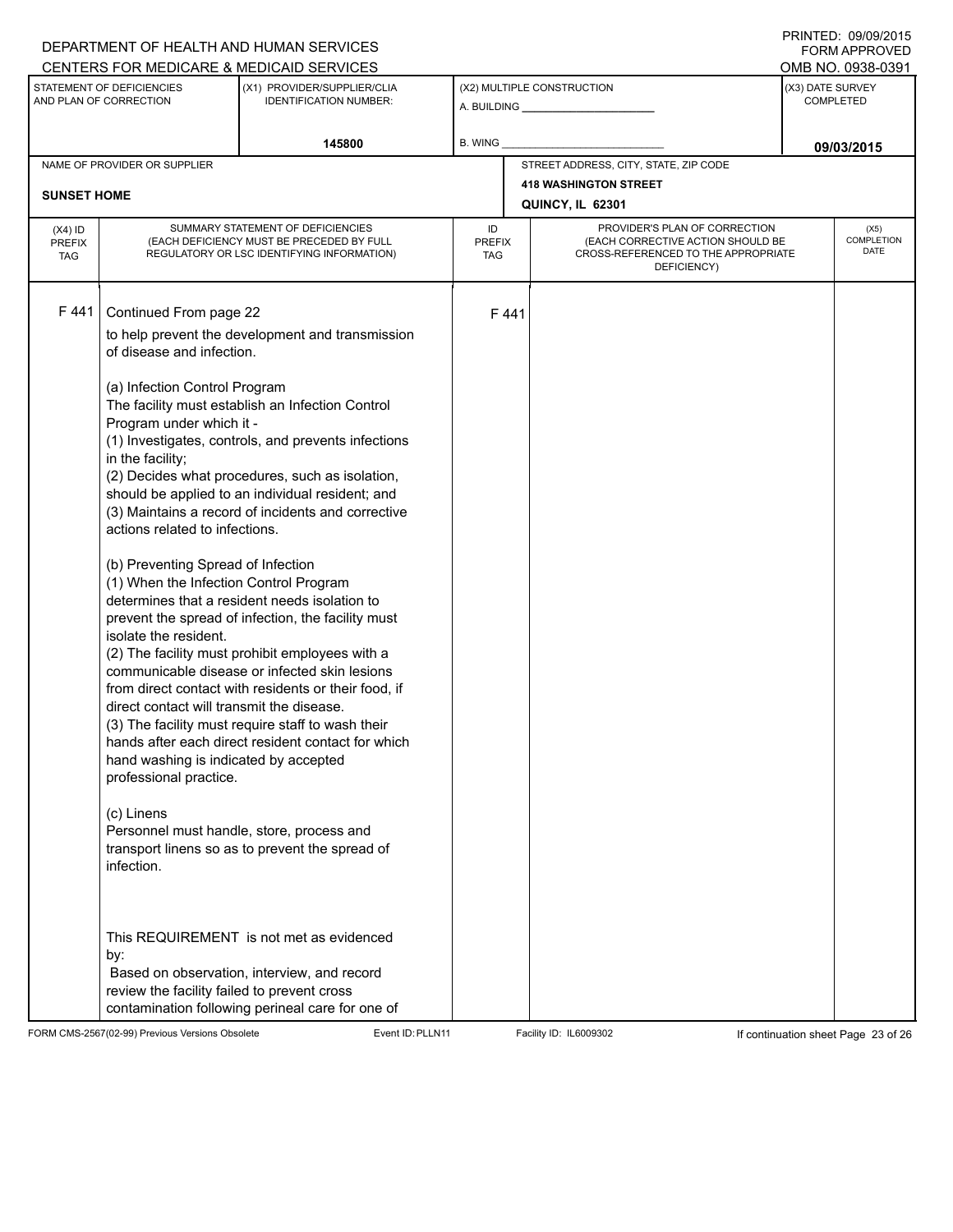# A. BUILDING **\_\_\_\_\_\_\_\_\_\_\_\_\_\_\_\_\_\_\_\_\_\_** (X1) PROVIDER/SUPPLIER/CLIA IDENTIFICATION NUMBER: STATEMENT OF DEFICIENCIES AND PLAN OF CORRECTION (X3) DATE SURVEY COMPLETED (X2) MULTIPLE CONSTRUCTION B. WING CENTERS FOR MEDICARE & MEDICAID SERVICES **And CENTERS FOR MEDICAL ACCESS** OMB NO. 0938-0391 145800 **B. WING DECISION B. WING** NAME OF PROVIDER OR SUPPLIER STREET ADDRESS, CITY, STATE, ZIP CODE **418 WASHINGTON STREET SUNSET HOME QUINCY, IL 62301** PROVIDER'S PLAN OF CORRECTION (EACH CORRECTIVE ACTION SHOULD BE CROSS-REFERENCED TO THE APPROPRIATE DEFICIENCY) (X5) **COMPLETION** DATE ID PREFIX TAG (X4) ID PREFIX TAG SUMMARY STATEMENT OF DEFICIENCIES (EACH DEFICIENCY MUST BE PRECEDED BY FULL REGULATORY OR LSC IDENTIFYING INFORMATION) F 441 Continued From page 22 F 441 to help prevent the development and transmission of disease and infection. (a) Infection Control Program The facility must establish an Infection Control Program under which it - (1) Investigates, controls, and prevents infections in the facility; (2) Decides what procedures, such as isolation, should be applied to an individual resident; and (3) Maintains a record of incidents and corrective actions related to infections. (b) Preventing Spread of Infection (1) When the Infection Control Program determines that a resident needs isolation to prevent the spread of infection, the facility must isolate the resident. (2) The facility must prohibit employees with a communicable disease or infected skin lesions from direct contact with residents or their food, if direct contact will transmit the disease. (3) The facility must require staff to wash their hands after each direct resident contact for which hand washing is indicated by accepted professional practice. (c) Linens Personnel must handle, store, process and transport linens so as to prevent the spread of infection. This REQUIREMENT is not met as evidenced by: Based on observation, interview, and record review the facility failed to prevent cross contamination following perineal care for one of

FORM CMS-2567(02-99) Previous Versions Obsolete Event ID:PLLN11 Facility ID: IL6009302 If continuation sheet Page 23 of 26

DEPARTMENT OF HEALTH AND HUMAN SERVICES

PRINTED: 09/09/2015 FORM APPROVED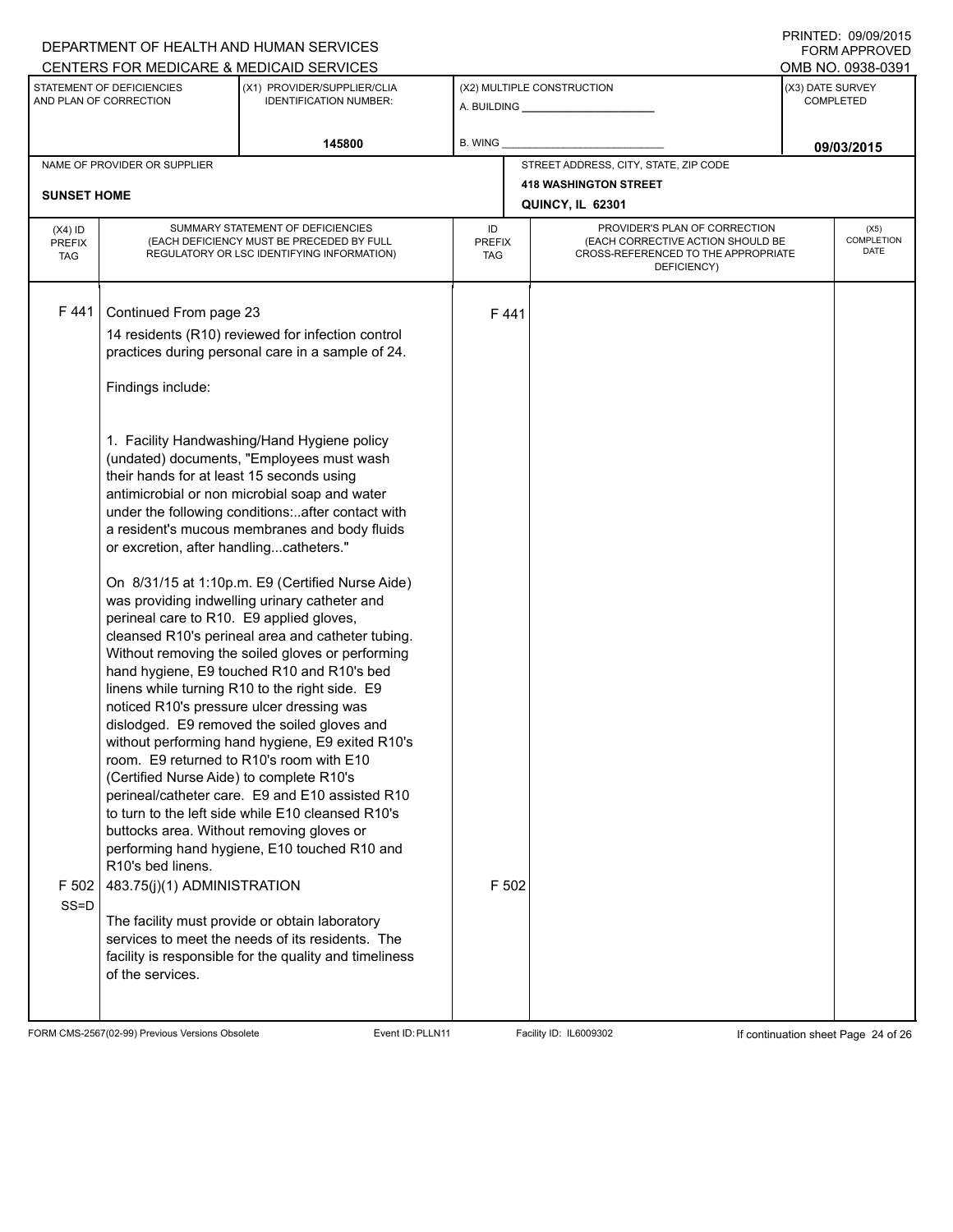## A. BUILDING **\_\_\_\_\_\_\_\_\_\_\_\_\_\_\_\_\_\_\_\_\_\_** (X1) PROVIDER/SUPPLIER/CLIA IDENTIFICATION NUMBER: STATEMENT OF DEFICIENCIES AND PLAN OF CORRECTION (X3) DATE SURVEY COMPLETED FORM APPROVED (X2) MULTIPLE CONSTRUCTION **B. WING** CENTERS FOR MEDICARE & MEDICAID SERVICES **And CENTERS FOR MEDICAL ACCESS** OMB NO. 0938-0391 145800 **B. WING DECISION B. WING** NAME OF PROVIDER OR SUPPLIER STREET ADDRESS, CITY, STATE, ZIP CODE **418 WASHINGTON STREET SUNSET HOME QUINCY, IL 62301** PROVIDER'S PLAN OF CORRECTION (EACH CORRECTIVE ACTION SHOULD BE CROSS-REFERENCED TO THE APPROPRIATE DEFICIENCY) (X5) **COMPLETION** DATE ID PREFIX TAG (X4) ID PREFIX TAG SUMMARY STATEMENT OF DEFICIENCIES (EACH DEFICIENCY MUST BE PRECEDED BY FULL REGULATORY OR LSC IDENTIFYING INFORMATION) F 441 Continued From page 23 F 441 14 residents (R10) reviewed for infection control practices during personal care in a sample of 24. Findings include: 1. Facility Handwashing/Hand Hygiene policy (undated) documents, "Employees must wash their hands for at least 15 seconds using antimicrobial or non microbial soap and water under the following conditions:..after contact with a resident's mucous membranes and body fluids or excretion, after handling...catheters." On 8/31/15 at 1:10p.m. E9 (Certified Nurse Aide) was providing indwelling urinary catheter and perineal care to R10. E9 applied gloves, cleansed R10's perineal area and catheter tubing. Without removing the soiled gloves or performing hand hygiene, E9 touched R10 and R10's bed linens while turning R10 to the right side. E9 noticed R10's pressure ulcer dressing was dislodged. E9 removed the soiled gloves and without performing hand hygiene, E9 exited R10's room. E9 returned to R10's room with E10 (Certified Nurse Aide) to complete R10's perineal/catheter care. E9 and E10 assisted R10 to turn to the left side while E10 cleansed R10's buttocks area. Without removing gloves or performing hand hygiene, E10 touched R10 and R10's bed linens. F 502 SS=D 483.75(j)(1) ADMINISTRATION The facility must provide or obtain laboratory services to meet the needs of its residents. The facility is responsible for the quality and timeliness of the services. F 502

FORM CMS-2567(02-99) Previous Versions Obsolete **Exent ID:PLLN11** Facility ID: IL6009302 If continuation sheet Page 24 of 26

DEPARTMENT OF HEALTH AND HUMAN SERVICES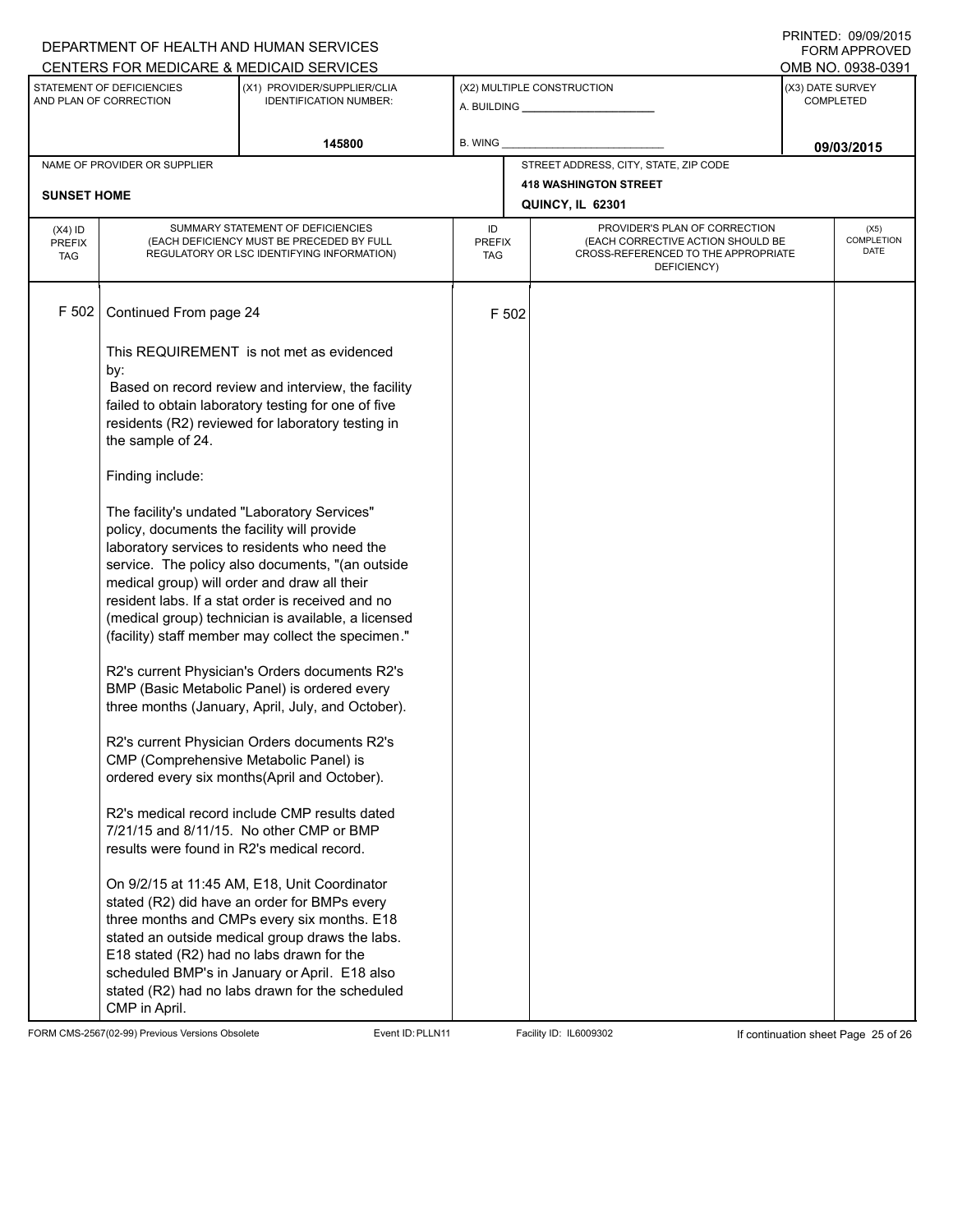|                                                                                                      |                                                                                             | DEPARTMENT OF HEALTH AND HUMAN SERVICES                                                                                                                                                                                                                                                                             |                            |       |                                                                                                                          |                                       | U ININTED. <i>טטופט</i><br>FORM APPROVED |  |
|------------------------------------------------------------------------------------------------------|---------------------------------------------------------------------------------------------|---------------------------------------------------------------------------------------------------------------------------------------------------------------------------------------------------------------------------------------------------------------------------------------------------------------------|----------------------------|-------|--------------------------------------------------------------------------------------------------------------------------|---------------------------------------|------------------------------------------|--|
| CENTERS FOR MEDICARE & MEDICAID SERVICES<br>STATEMENT OF DEFICIENCIES<br>(X1) PROVIDER/SUPPLIER/CLIA |                                                                                             |                                                                                                                                                                                                                                                                                                                     |                            |       | (X2) MULTIPLE CONSTRUCTION                                                                                               | OMB NO. 0938-0391<br>(X3) DATE SURVEY |                                          |  |
| AND PLAN OF CORRECTION<br><b>IDENTIFICATION NUMBER:</b>                                              |                                                                                             |                                                                                                                                                                                                                                                                                                                     |                            |       |                                                                                                                          | <b>COMPLETED</b>                      |                                          |  |
| 145800                                                                                               |                                                                                             | B. WING                                                                                                                                                                                                                                                                                                             |                            |       |                                                                                                                          | 09/03/2015                            |                                          |  |
|                                                                                                      | NAME OF PROVIDER OR SUPPLIER                                                                |                                                                                                                                                                                                                                                                                                                     |                            |       | STREET ADDRESS, CITY, STATE, ZIP CODE                                                                                    |                                       |                                          |  |
| <b>SUNSET HOME</b>                                                                                   |                                                                                             |                                                                                                                                                                                                                                                                                                                     |                            |       | <b>418 WASHINGTON STREET</b>                                                                                             |                                       |                                          |  |
|                                                                                                      |                                                                                             |                                                                                                                                                                                                                                                                                                                     |                            |       | QUINCY, IL 62301                                                                                                         |                                       |                                          |  |
| $(X4)$ ID<br><b>PREFIX</b><br><b>TAG</b>                                                             |                                                                                             | SUMMARY STATEMENT OF DEFICIENCIES<br>(EACH DEFICIENCY MUST BE PRECEDED BY FULL<br>REGULATORY OR LSC IDENTIFYING INFORMATION)                                                                                                                                                                                        | ID<br><b>PREFIX</b><br>TAG |       | PROVIDER'S PLAN OF CORRECTION<br>(EACH CORRECTIVE ACTION SHOULD BE<br>CROSS-REFERENCED TO THE APPROPRIATE<br>DEFICIENCY) |                                       | (X5)<br>COMPLETION<br>DATE               |  |
| F 502                                                                                                | Continued From page 24                                                                      |                                                                                                                                                                                                                                                                                                                     |                            | F 502 |                                                                                                                          |                                       |                                          |  |
|                                                                                                      | by:<br>the sample of 24.                                                                    | This REQUIREMENT is not met as evidenced<br>Based on record review and interview, the facility<br>failed to obtain laboratory testing for one of five<br>residents (R2) reviewed for laboratory testing in                                                                                                          |                            |       |                                                                                                                          |                                       |                                          |  |
|                                                                                                      | Finding include:                                                                            |                                                                                                                                                                                                                                                                                                                     |                            |       |                                                                                                                          |                                       |                                          |  |
|                                                                                                      | policy, documents the facility will provide<br>medical group) will order and draw all their | The facility's undated "Laboratory Services"<br>laboratory services to residents who need the<br>service. The policy also documents, "(an outside<br>resident labs. If a stat order is received and no<br>(medical group) technician is available, a licensed<br>(facility) staff member may collect the specimen." |                            |       |                                                                                                                          |                                       |                                          |  |
|                                                                                                      |                                                                                             | R2's current Physician's Orders documents R2's<br>BMP (Basic Metabolic Panel) is ordered every<br>three months (January, April, July, and October).                                                                                                                                                                 |                            |       |                                                                                                                          |                                       |                                          |  |
|                                                                                                      | CMP (Comprehensive Metabolic Panel) is                                                      | R2's current Physician Orders documents R2's<br>ordered every six months(April and October).                                                                                                                                                                                                                        |                            |       |                                                                                                                          |                                       |                                          |  |
|                                                                                                      | results were found in R2's medical record.                                                  | R2's medical record include CMP results dated<br>7/21/15 and 8/11/15. No other CMP or BMP                                                                                                                                                                                                                           |                            |       |                                                                                                                          |                                       |                                          |  |
|                                                                                                      | E18 stated (R2) had no labs drawn for the<br>CMP in April.                                  | On 9/2/15 at 11:45 AM, E18, Unit Coordinator<br>stated (R2) did have an order for BMPs every<br>three months and CMPs every six months. E18<br>stated an outside medical group draws the labs.<br>scheduled BMP's in January or April. E18 also<br>stated (R2) had no labs drawn for the scheduled                  |                            |       |                                                                                                                          |                                       |                                          |  |

FORM CMS-2567(02-99) Previous Versions Obsolete Event ID:PLLN11 Facility ID: IL6009302 If continuation sheet Page 25 of 26